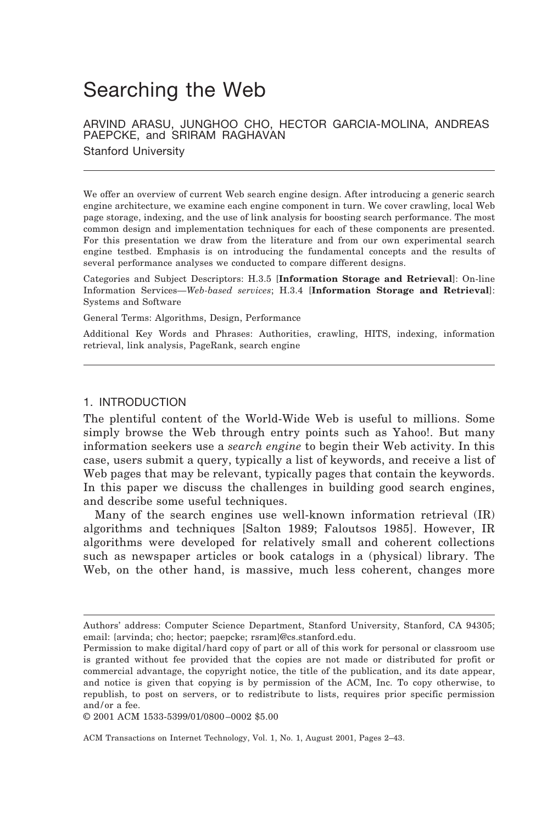# Searching the Web

ARVIND ARASU, JUNGHOO CHO, HECTOR GARCIA-MOLINA, ANDREAS PAEPCKE, and SRIRAM RAGHAVAN Stanford University

We offer an overview of current Web search engine design. After introducing a generic search engine architecture, we examine each engine component in turn. We cover crawling, local Web page storage, indexing, and the use of link analysis for boosting search performance. The most common design and implementation techniques for each of these components are presented. For this presentation we draw from the literature and from our own experimental search engine testbed. Emphasis is on introducing the fundamental concepts and the results of several performance analyses we conducted to compare different designs.

Categories and Subject Descriptors: H.3.5 [**Information Storage and Retrieval**]: On-line Information Services—*Web-based services*; H.3.4 [**Information Storage and Retrieval**]: Systems and Software

General Terms: Algorithms, Design, Performance

Additional Key Words and Phrases: Authorities, crawling, HITS, indexing, information retrieval, link analysis, PageRank, search engine

#### 1. INTRODUCTION

The plentiful content of the World-Wide Web is useful to millions. Some simply browse the Web through entry points such as Yahoo!. But many information seekers use a *search engine* to begin their Web activity. In this case, users submit a query, typically a list of keywords, and receive a list of Web pages that may be relevant, typically pages that contain the keywords. In this paper we discuss the challenges in building good search engines, and describe some useful techniques.

Many of the search engines use well-known information retrieval (IR) algorithms and techniques [Salton 1989; Faloutsos 1985]. However, IR algorithms were developed for relatively small and coherent collections such as newspaper articles or book catalogs in a (physical) library. The Web, on the other hand, is massive, much less coherent, changes more

© 2001 ACM 1533-5399/01/0800–0002 \$5.00

Authors' address: Computer Science Department, Stanford University, Stanford, CA 94305; email: {arvinda; cho; hector; paepcke; rsram}@cs.stanford.edu.

Permission to make digital/hard copy of part or all of this work for personal or classroom use is granted without fee provided that the copies are not made or distributed for profit or commercial advantage, the copyright notice, the title of the publication, and its date appear, and notice is given that copying is by permission of the ACM, Inc. To copy otherwise, to republish, to post on servers, or to redistribute to lists, requires prior specific permission and/or a fee.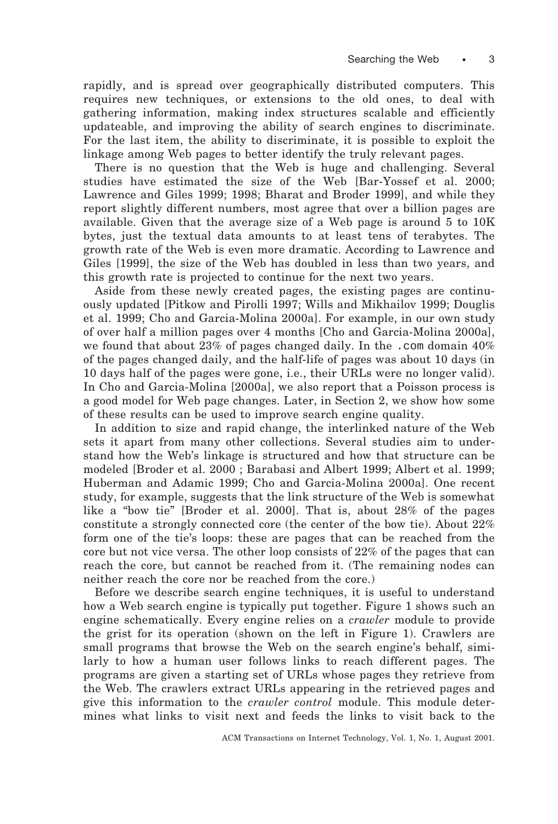rapidly, and is spread over geographically distributed computers. This requires new techniques, or extensions to the old ones, to deal with gathering information, making index structures scalable and efficiently updateable, and improving the ability of search engines to discriminate. For the last item, the ability to discriminate, it is possible to exploit the linkage among Web pages to better identify the truly relevant pages.

There is no question that the Web is huge and challenging. Several studies have estimated the size of the Web [Bar-Yossef et al. 2000; Lawrence and Giles 1999; 1998; Bharat and Broder 1999], and while they report slightly different numbers, most agree that over a billion pages are available. Given that the average size of a Web page is around 5 to 10K bytes, just the textual data amounts to at least tens of terabytes. The growth rate of the Web is even more dramatic. According to Lawrence and Giles [1999], the size of the Web has doubled in less than two years, and this growth rate is projected to continue for the next two years.

Aside from these newly created pages, the existing pages are continuously updated [Pitkow and Pirolli 1997; Wills and Mikhailov 1999; Douglis et al. 1999; Cho and Garcia-Molina 2000a]. For example, in our own study of over half a million pages over 4 months [Cho and Garcia-Molina 2000a], we found that about 23% of pages changed daily. In the .com domain  $40\%$ of the pages changed daily, and the half-life of pages was about 10 days (in 10 days half of the pages were gone, i.e., their URLs were no longer valid). In Cho and Garcia-Molina [2000a], we also report that a Poisson process is a good model for Web page changes. Later, in Section 2, we show how some of these results can be used to improve search engine quality.

In addition to size and rapid change, the interlinked nature of the Web sets it apart from many other collections. Several studies aim to understand how the Web's linkage is structured and how that structure can be modeled [Broder et al. 2000 ; Barabasi and Albert 1999; Albert et al. 1999; Huberman and Adamic 1999; Cho and Garcia-Molina 2000a]. One recent study, for example, suggests that the link structure of the Web is somewhat like a "bow tie" [Broder et al. 2000]. That is, about 28% of the pages constitute a strongly connected core (the center of the bow tie). About 22% form one of the tie's loops: these are pages that can be reached from the core but not vice versa. The other loop consists of 22% of the pages that can reach the core, but cannot be reached from it. (The remaining nodes can neither reach the core nor be reached from the core.)

Before we describe search engine techniques, it is useful to understand how a Web search engine is typically put together. Figure 1 shows such an engine schematically. Every engine relies on a *crawler* module to provide the grist for its operation (shown on the left in Figure 1). Crawlers are small programs that browse the Web on the search engine's behalf, similarly to how a human user follows links to reach different pages. The programs are given a starting set of URLs whose pages they retrieve from the Web. The crawlers extract URLs appearing in the retrieved pages and give this information to the *crawler control* module. This module determines what links to visit next and feeds the links to visit back to the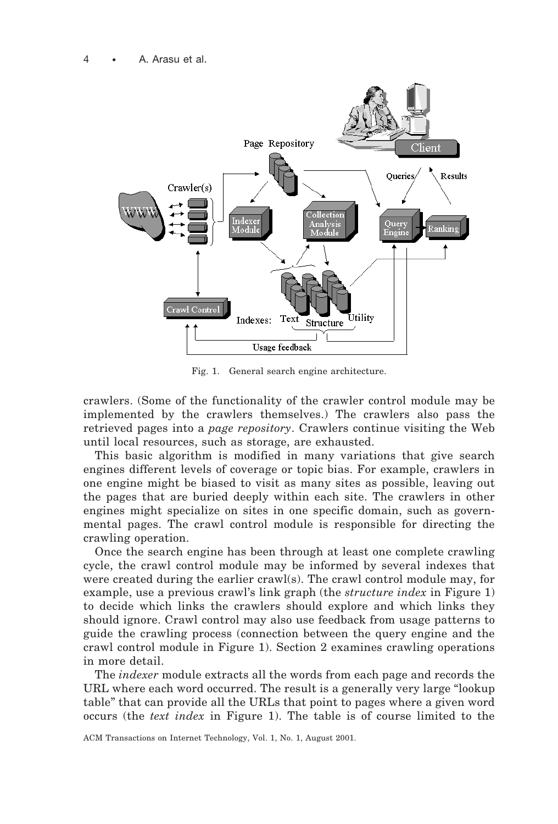

Fig. 1. General search engine architecture.

crawlers. (Some of the functionality of the crawler control module may be implemented by the crawlers themselves.) The crawlers also pass the retrieved pages into a *page repository*. Crawlers continue visiting the Web until local resources, such as storage, are exhausted.

This basic algorithm is modified in many variations that give search engines different levels of coverage or topic bias. For example, crawlers in one engine might be biased to visit as many sites as possible, leaving out the pages that are buried deeply within each site. The crawlers in other engines might specialize on sites in one specific domain, such as governmental pages. The crawl control module is responsible for directing the crawling operation.

Once the search engine has been through at least one complete crawling cycle, the crawl control module may be informed by several indexes that were created during the earlier crawl(s). The crawl control module may, for example, use a previous crawl's link graph (the *structure index* in Figure 1) to decide which links the crawlers should explore and which links they should ignore. Crawl control may also use feedback from usage patterns to guide the crawling process (connection between the query engine and the crawl control module in Figure 1). Section 2 examines crawling operations in more detail.

The *indexer* module extracts all the words from each page and records the URL where each word occurred. The result is a generally very large "lookup table" that can provide all the URLs that point to pages where a given word occurs (the *text index* in Figure 1). The table is of course limited to the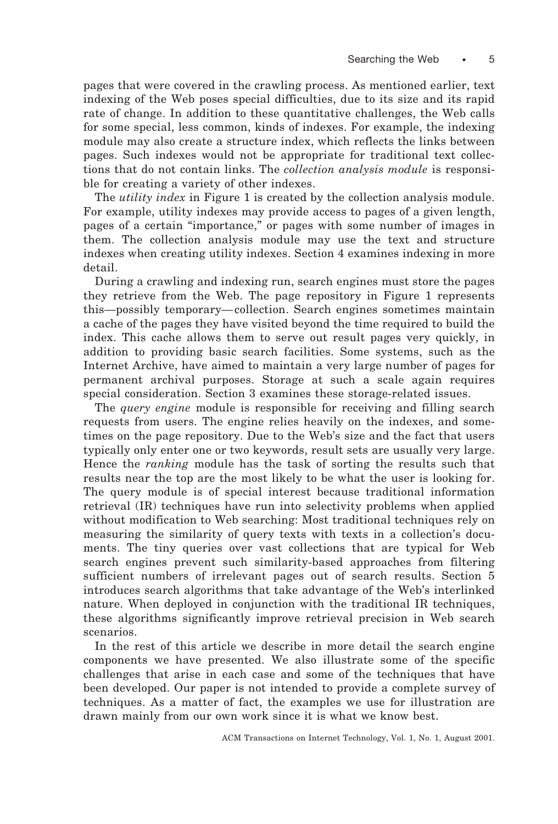pages that were covered in the crawling process. As mentioned earlier, text indexing of the Web poses special difficulties, due to its size and its rapid rate of change. In addition to these quantitative challenges, the Web calls for some special, less common, kinds of indexes. For example, the indexing module may also create a structure index, which reflects the links between pages. Such indexes would not be appropriate for traditional text collections that do not contain links. The *collection analysis module* is responsible for creating a variety of other indexes.

The *utility index* in Figure 1 is created by the collection analysis module. For example, utility indexes may provide access to pages of a given length, pages of a certain "importance," or pages with some number of images in them. The collection analysis module may use the text and structure indexes when creating utility indexes. Section 4 examines indexing in more detail.

During a crawling and indexing run, search engines must store the pages they retrieve from the Web. The page repository in Figure 1 represents this—possibly temporary—collection. Search engines sometimes maintain a cache of the pages they have visited beyond the time required to build the index. This cache allows them to serve out result pages very quickly, in addition to providing basic search facilities. Some systems, such as the Internet Archive, have aimed to maintain a very large number of pages for permanent archival purposes. Storage at such a scale again requires special consideration. Section 3 examines these storage-related issues.

The *query engine* module is responsible for receiving and filling search requests from users. The engine relies heavily on the indexes, and sometimes on the page repository. Due to the Web's size and the fact that users typically only enter one or two keywords, result sets are usually very large. Hence the *ranking* module has the task of sorting the results such that results near the top are the most likely to be what the user is looking for. The query module is of special interest because traditional information retrieval (IR) techniques have run into selectivity problems when applied without modification to Web searching: Most traditional techniques rely on measuring the similarity of query texts with texts in a collection's documents. The tiny queries over vast collections that are typical for Web search engines prevent such similarity-based approaches from filtering sufficient numbers of irrelevant pages out of search results. Section 5 introduces search algorithms that take advantage of the Web's interlinked nature. When deployed in conjunction with the traditional IR techniques, these algorithms significantly improve retrieval precision in Web search scenarios.

In the rest of this article we describe in more detail the search engine components we have presented. We also illustrate some of the specific challenges that arise in each case and some of the techniques that have been developed. Our paper is not intended to provide a complete survey of techniques. As a matter of fact, the examples we use for illustration are drawn mainly from our own work since it is what we know best.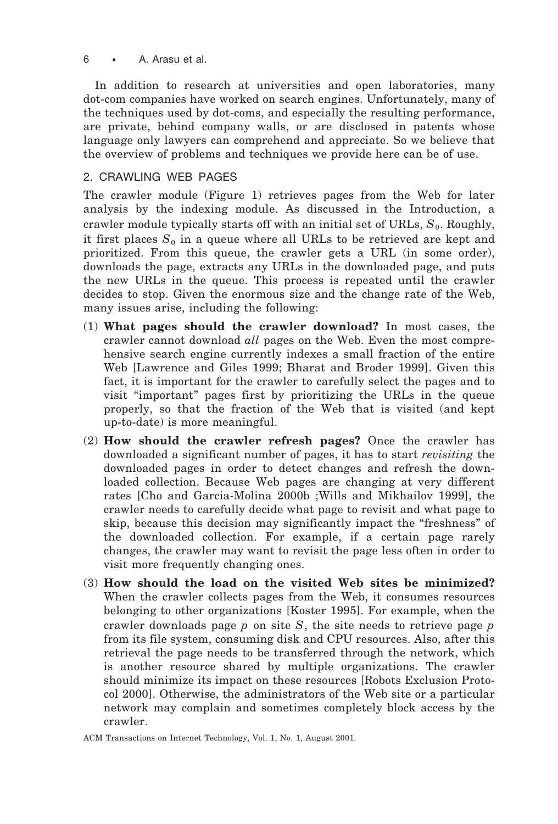6 • A. Arasu et al.

In addition to research at universities and open laboratories, many dot-com companies have worked on search engines. Unfortunately, many of the techniques used by dot-coms, and especially the resulting performance, are private, behind company walls, or are disclosed in patents whose language only lawyers can comprehend and appreciate. So we believe that the overview of problems and techniques we provide here can be of use.

# 2. CRAWLING WEB PAGES

The crawler module (Figure 1) retrieves pages from the Web for later analysis by the indexing module. As discussed in the Introduction, a crawler module typically starts off with an initial set of URLs,  $S_0$ . Roughly, it first places  $S_0$  in a queue where all URLs to be retrieved are kept and prioritized. From this queue, the crawler gets a URL (in some order), downloads the page, extracts any URLs in the downloaded page, and puts the new URLs in the queue. This process is repeated until the crawler decides to stop. Given the enormous size and the change rate of the Web, many issues arise, including the following:

- (1) **What pages should the crawler download?** In most cases, the crawler cannot download *all* pages on the Web. Even the most comprehensive search engine currently indexes a small fraction of the entire Web [Lawrence and Giles 1999; Bharat and Broder 1999]. Given this fact, it is important for the crawler to carefully select the pages and to visit "important" pages first by prioritizing the URLs in the queue properly, so that the fraction of the Web that is visited (and kept up-to-date) is more meaningful.
- (2) **How should the crawler refresh pages?** Once the crawler has downloaded a significant number of pages, it has to start *revisiting* the downloaded pages in order to detect changes and refresh the downloaded collection. Because Web pages are changing at very different rates [Cho and Garcia-Molina 2000b ;Wills and Mikhailov 1999], the crawler needs to carefully decide what page to revisit and what page to skip, because this decision may significantly impact the "freshness" of the downloaded collection. For example, if a certain page rarely changes, the crawler may want to revisit the page less often in order to visit more frequently changing ones.
- (3) **How should the load on the visited Web sites be minimized?** When the crawler collects pages from the Web, it consumes resources belonging to other organizations [Koster 1995]. For example, when the crawler downloads page *p* on site *S*, the site needs to retrieve page *p* from its file system, consuming disk and CPU resources. Also, after this retrieval the page needs to be transferred through the network, which is another resource shared by multiple organizations. The crawler should minimize its impact on these resources [Robots Exclusion Protocol 2000]. Otherwise, the administrators of the Web site or a particular network may complain and sometimes completely block access by the crawler.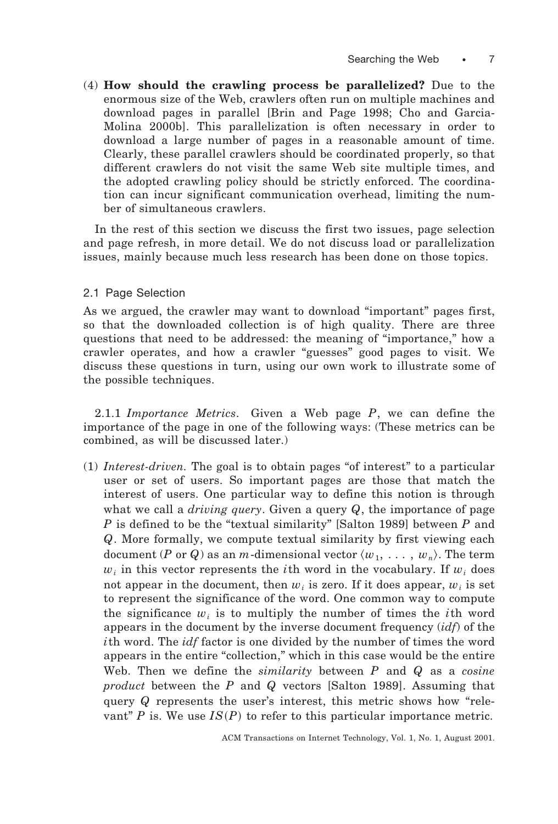(4) **How should the crawling process be parallelized?** Due to the enormous size of the Web, crawlers often run on multiple machines and download pages in parallel [Brin and Page 1998; Cho and Garcia-Molina 2000b]. This parallelization is often necessary in order to download a large number of pages in a reasonable amount of time. Clearly, these parallel crawlers should be coordinated properly, so that different crawlers do not visit the same Web site multiple times, and the adopted crawling policy should be strictly enforced. The coordination can incur significant communication overhead, limiting the number of simultaneous crawlers.

In the rest of this section we discuss the first two issues, page selection and page refresh, in more detail. We do not discuss load or parallelization issues, mainly because much less research has been done on those topics.

## 2.1 Page Selection

As we argued, the crawler may want to download "important" pages first, so that the downloaded collection is of high quality. There are three questions that need to be addressed: the meaning of "importance," how a crawler operates, and how a crawler "guesses" good pages to visit. We discuss these questions in turn, using our own work to illustrate some of the possible techniques.

2.1.1 *Importance Metrics*. Given a Web page *P*, we can define the importance of the page in one of the following ways: (These metrics can be combined, as will be discussed later.)

(1) *Interest-driven.* The goal is to obtain pages "of interest" to a particular user or set of users. So important pages are those that match the interest of users. One particular way to define this notion is through what we call a *driving query*. Given a query *Q*, the importance of page *P* is defined to be the "textual similarity" [Salton 1989] between *P* and *Q*. More formally, we compute textual similarity by first viewing each document (*P* or *Q*) as an *m*-dimensional vector  $\langle w_1, \ldots, w_n \rangle$ . The term  $w_i$  in this vector represents the *i*th word in the vocabulary. If  $w_i$  does not appear in the document, then  $w_i$  is zero. If it does appear,  $w_i$  is set to represent the significance of the word. One common way to compute the significance  $w_i$  is to multiply the number of times the *i*th word appears in the document by the inverse document frequency (*idf*) of the *i*th word. The *idf* factor is one divided by the number of times the word appears in the entire "collection," which in this case would be the entire Web. Then we define the *similarity* between *P* and *Q* as a *cosine product* between the *P* and *Q* vectors [Salton 1989]. Assuming that query *Q* represents the user's interest, this metric shows how "relevant" *P* is. We use  $IS(P)$  to refer to this particular importance metric.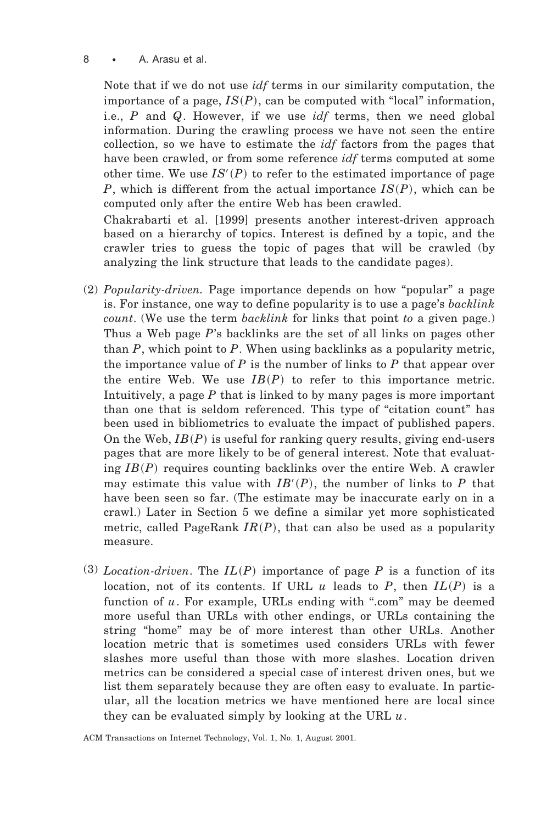### 8 • A. Arasu et al.

Note that if we do not use *idf* terms in our similarity computation, the importance of a page,  $IS(P)$ , can be computed with "local" information, i.e., *P* and *Q*. However, if we use *idf* terms, then we need global information. During the crawling process we have not seen the entire collection, so we have to estimate the *idf* factors from the pages that have been crawled, or from some reference *idf* terms computed at some other time. We use  $IS'(P)$  to refer to the estimated importance of page *P*, which is different from the actual importance  $IS(P)$ , which can be computed only after the entire Web has been crawled. Chakrabarti et al. [1999] presents another interest-driven approach

based on a hierarchy of topics. Interest is defined by a topic, and the crawler tries to guess the topic of pages that will be crawled (by analyzing the link structure that leads to the candidate pages).

- (2) *Popularity-driven.* Page importance depends on how "popular" a page is. For instance, one way to define popularity is to use a page's *backlink count*. (We use the term *backlink* for links that point *to* a given page.) Thus a Web page *P*'s backlinks are the set of all links on pages other than *P*, which point to *P*. When using backlinks as a popularity metric, the importance value of *P* is the number of links to *P* that appear over the entire Web. We use  $IB(P)$  to refer to this importance metric. Intuitively, a page *P* that is linked to by many pages is more important than one that is seldom referenced. This type of "citation count" has been used in bibliometrics to evaluate the impact of published papers. On the Web,  $IB(P)$  is useful for ranking query results, giving end-users pages that are more likely to be of general interest. Note that evaluating  $IB(P)$  requires counting backlinks over the entire Web. A crawler may estimate this value with  $IB'(P)$ , the number of links to  $P$  that have been seen so far. (The estimate may be inaccurate early on in a crawl.) Later in Section 5 we define a similar yet more sophisticated metric, called PageRank  $IR(P)$ , that can also be used as a popularity measure.
- (3) *Location-driven*. The  $IL(P)$  importance of page P is a function of its location, not of its contents. If URL  $u$  leads to  $P$ , then  $IL(P)$  is a function of *u*. For example, URLs ending with ".com" may be deemed more useful than URLs with other endings, or URLs containing the string "home" may be of more interest than other URLs. Another location metric that is sometimes used considers URLs with fewer slashes more useful than those with more slashes. Location driven metrics can be considered a special case of interest driven ones, but we list them separately because they are often easy to evaluate. In particular, all the location metrics we have mentioned here are local since they can be evaluated simply by looking at the URL *u*.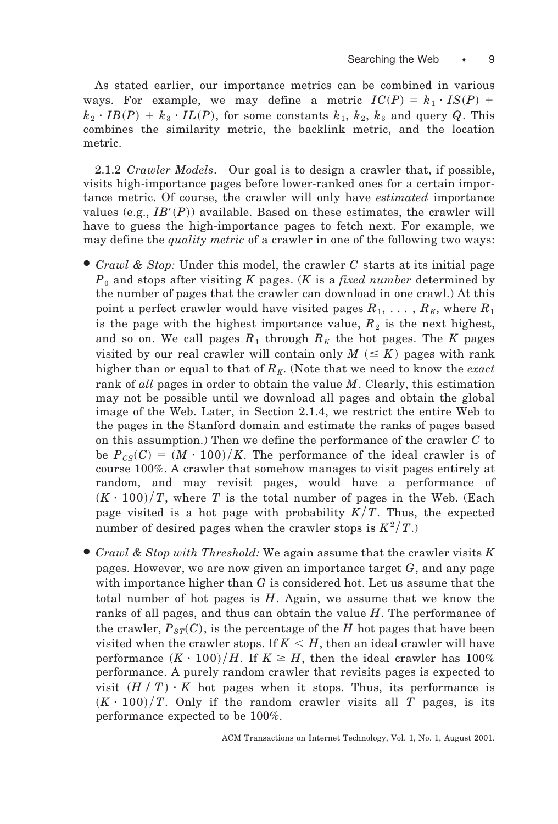As stated earlier, our importance metrics can be combined in various ways. For example, we may define a metric  $IC(P) = k_1 \cdot IS(P)$  +  $k_2 \cdot IB(P) + k_3 \cdot IL(P)$ , for some constants  $k_1, k_2, k_3$  and query *Q*. This combines the similarity metric, the backlink metric, and the location metric.

2.1.2 *Crawler Models*. Our goal is to design a crawler that, if possible, visits high-importance pages before lower-ranked ones for a certain importance metric. Of course, the crawler will only have *estimated* importance values (e.g.,  $IB'(P)$ ) available. Based on these estimates, the crawler will have to guess the high-importance pages to fetch next. For example, we may define the *quality metric* of a crawler in one of the following two ways:

- *Crawl & Stop:* Under this model, the crawler *C* starts at its initial page *P*<sup>0</sup> and stops after visiting *K* pages. (*K* is a *fixed number* determined by the number of pages that the crawler can download in one crawl.) At this point a perfect crawler would have visited pages  $R_1, \ldots, R_K$ , where  $R_1$ is the page with the highest importance value,  $R_2$  is the next highest, and so on. We call pages  $R_1$  through  $R_K$  the hot pages. The K pages visited by our real crawler will contain only  $M \leq K$  ) pages with rank higher than or equal to that of  $R_K$ . (Note that we need to know the *exact* rank of *all* pages in order to obtain the value *M*. Clearly, this estimation may not be possible until we download all pages and obtain the global image of the Web. Later, in Section 2.1.4, we restrict the entire Web to the pages in the Stanford domain and estimate the ranks of pages based on this assumption.) Then we define the performance of the crawler *C* to be  $P_{CS}(C) = (M \cdot 100) / K$ . The performance of the ideal crawler is of course 100%. A crawler that somehow manages to visit pages entirely at random, and may revisit pages, would have a performance of  $(K \cdot 100)/T$ , where T is the total number of pages in the Web. (Each page visited is a hot page with probability  $K/T$ . Thus, the expected number of desired pages when the crawler stops is  $K^2/T$ .)
- *Crawl & Stop with Threshold:* We again assume that the crawler visits *K* pages. However, we are now given an importance target *G*, and any page with importance higher than *G* is considered hot. Let us assume that the total number of hot pages is *H*. Again, we assume that we know the ranks of all pages, and thus can obtain the value *H*. The performance of the crawler,  $P_{ST}(C)$ , is the percentage of the *H* hot pages that have been visited when the crawler stops. If  $K < H$ , then an ideal crawler will have performance  $(K \cdot 100)/H$ . If  $K \geq H$ , then the ideal crawler has 100% performance. A purely random crawler that revisits pages is expected to visit  $(H / T) \cdot K$  hot pages when it stops. Thus, its performance is  $(K \cdot 100)/T$ . Only if the random crawler visits all *T* pages, is its performance expected to be 100%.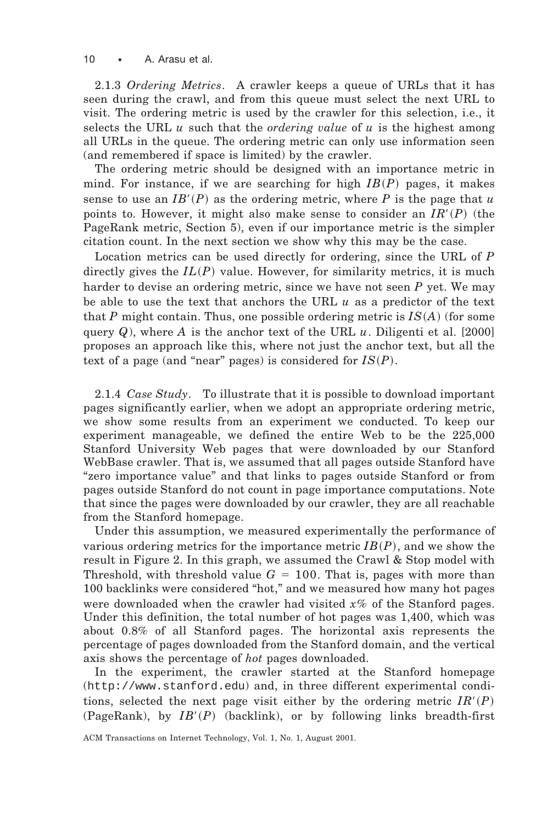10 • A. Arasu et al.

2.1.3 *Ordering Metrics*. A crawler keeps a queue of URLs that it has seen during the crawl, and from this queue must select the next URL to visit. The ordering metric is used by the crawler for this selection, i.e., it selects the URL *u* such that the *ordering value* of *u* is the highest among all URLs in the queue. The ordering metric can only use information seen (and remembered if space is limited) by the crawler.

The ordering metric should be designed with an importance metric in mind. For instance, if we are searching for high  $IB(P)$  pages, it makes sense to use an  $IB'(P)$  as the ordering metric, where P is the page that *u* points to. However, it might also make sense to consider an  $IR'(P)$  (the PageRank metric, Section 5), even if our importance metric is the simpler citation count. In the next section we show why this may be the case.

Location metrics can be used directly for ordering, since the URL of *P* directly gives the  $IL(P)$  value. However, for similarity metrics, it is much harder to devise an ordering metric, since we have not seen *P* yet. We may be able to use the text that anchors the URL *u* as a predictor of the text that *P* might contain. Thus, one possible ordering metric is  $IS(A)$  (for some query *Q*), where *A* is the anchor text of the URL *u*. Diligenti et al. [2000] proposes an approach like this, where not just the anchor text, but all the text of a page (and "near" pages) is considered for  $IS(P)$ .

2.1.4 *Case Study*. To illustrate that it is possible to download important pages significantly earlier, when we adopt an appropriate ordering metric, we show some results from an experiment we conducted. To keep our experiment manageable, we defined the entire Web to be the 225,000 Stanford University Web pages that were downloaded by our Stanford WebBase crawler. That is, we assumed that all pages outside Stanford have "zero importance value" and that links to pages outside Stanford or from pages outside Stanford do not count in page importance computations. Note that since the pages were downloaded by our crawler, they are all reachable from the Stanford homepage.

Under this assumption, we measured experimentally the performance of various ordering metrics for the importance metric  $IB(P)$ , and we show the result in Figure 2. In this graph, we assumed the Crawl & Stop model with Threshold, with threshold value  $G = 100$ . That is, pages with more than 100 backlinks were considered "hot," and we measured how many hot pages were downloaded when the crawler had visited *x*% of the Stanford pages. Under this definition, the total number of hot pages was 1,400, which was about 0.8% of all Stanford pages. The horizontal axis represents the percentage of pages downloaded from the Stanford domain, and the vertical axis shows the percentage of *hot* pages downloaded.

In the experiment, the crawler started at the Stanford homepage (http://www.stanford.edu) and, in three different experimental conditions, selected the next page visit either by the ordering metric  $IR(P)$ (PageRank), by  $IB'(P)$  (backlink), or by following links breadth-first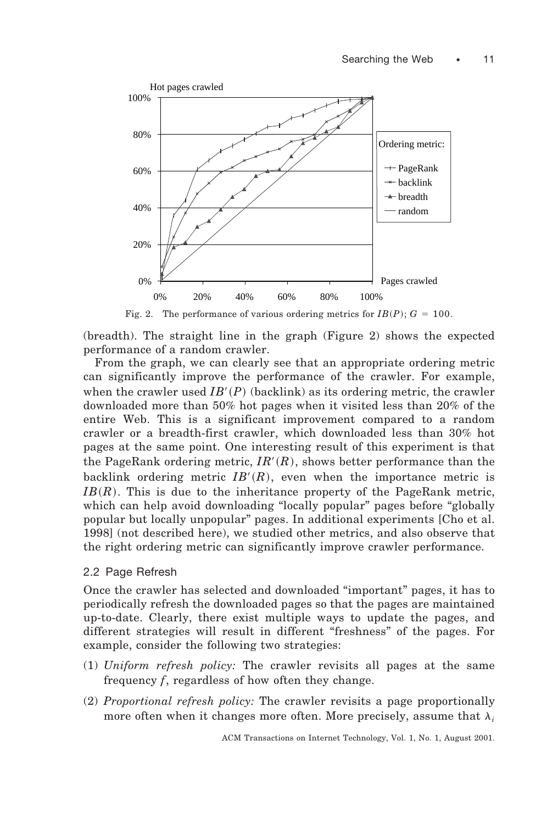

(breadth). The straight line in the graph (Figure 2) shows the expected performance of a random crawler.

From the graph, we can clearly see that an appropriate ordering metric can significantly improve the performance of the crawler. For example, when the crawler used  $IB'(P)$  (backlink) as its ordering metric, the crawler downloaded more than 50% hot pages when it visited less than 20% of the entire Web. This is a significant improvement compared to a random crawler or a breadth-first crawler, which downloaded less than 30% hot pages at the same point. One interesting result of this experiment is that the PageRank ordering metric,  $IR(R)$ , shows better performance than the backlink ordering metric  $IB'(R)$ , even when the importance metric is  $IB(R)$ . This is due to the inheritance property of the PageRank metric, which can help avoid downloading "locally popular" pages before "globally popular but locally unpopular" pages. In additional experiments [Cho et al. 1998] (not described here), we studied other metrics, and also observe that the right ordering metric can significantly improve crawler performance.

# 2.2 Page Refresh

Once the crawler has selected and downloaded "important" pages, it has to periodically refresh the downloaded pages so that the pages are maintained up-to-date. Clearly, there exist multiple ways to update the pages, and different strategies will result in different "freshness" of the pages. For example, consider the following two strategies:

- (1) *Uniform refresh policy:* The crawler revisits all pages at the same frequency *f*, regardless of how often they change.
- (2) *Proportional refresh policy:* The crawler revisits a page proportionally more often when it changes more often. More precisely, assume that  $\lambda_i$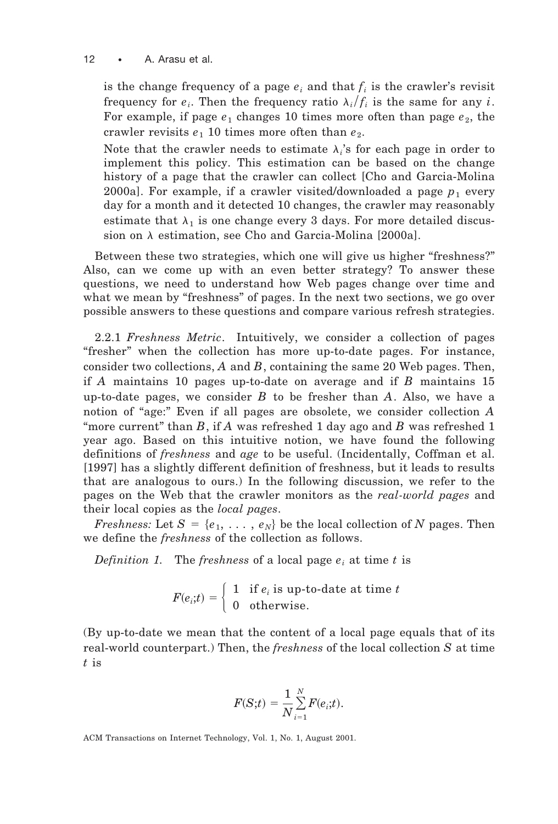#### 12 • A. Arasu et al.

is the change frequency of a page  $e_i$  and that  $f_i$  is the crawler's revisit frequency for  $e_i$ . Then the frequency ratio  $\lambda_i / f_i$  is the same for any *i*. For example, if page  $e_1$  changes 10 times more often than page  $e_2$ , the crawler revisits  $e_1$  10 times more often than  $e_2$ .

Note that the crawler needs to estimate  $\lambda_i$ 's for each page in order to implement this policy. This estimation can be based on the change history of a page that the crawler can collect [Cho and Garcia-Molina 2000a]. For example, if a crawler visited/downloaded a page  $p_1$  every day for a month and it detected 10 changes, the crawler may reasonably estimate that  $\lambda_1$  is one change every 3 days. For more detailed discussion on  $\lambda$  estimation, see Cho and Garcia-Molina [2000a].

Between these two strategies, which one will give us higher "freshness?" Also, can we come up with an even better strategy? To answer these questions, we need to understand how Web pages change over time and what we mean by "freshness" of pages. In the next two sections, we go over possible answers to these questions and compare various refresh strategies.

2.2.1 *Freshness Metric*. Intuitively, we consider a collection of pages "fresher" when the collection has more up-to-date pages. For instance, consider two collections, *A* and *B*, containing the same 20 Web pages. Then, if *A* maintains 10 pages up-to-date on average and if *B* maintains 15 up-to-date pages, we consider *B* to be fresher than *A*. Also, we have a notion of "age:" Even if all pages are obsolete, we consider collection *A* "more current" than *B*, if *A* was refreshed 1 day ago and *B* was refreshed 1 year ago. Based on this intuitive notion, we have found the following definitions of *freshness* and *age* to be useful. (Incidentally, Coffman et al. [1997] has a slightly different definition of freshness, but it leads to results that are analogous to ours.) In the following discussion, we refer to the pages on the Web that the crawler monitors as the *real-world pages* and their local copies as the *local pages*.

*Freshness:* Let  $S = \{e_1, \ldots, e_N\}$  be the local collection of *N* pages. Then we define the *freshness* of the collection as follows.

*Definition 1.* The *freshness* of a local page  $e_i$  at time t is

$$
F(e_i;t) = \left\{ \begin{array}{ll} 1 & \text{if } e_i \text{ is up-to-date at time } t \\ 0 & \text{otherwise.} \end{array} \right.
$$

(By up-to-date we mean that the content of a local page equals that of its real-world counterpart.) Then, the *freshness* of the local collection *S* at time *t* is

$$
F(S;t) = \frac{1}{N} \sum_{i=1}^{N} F(e_i;t).
$$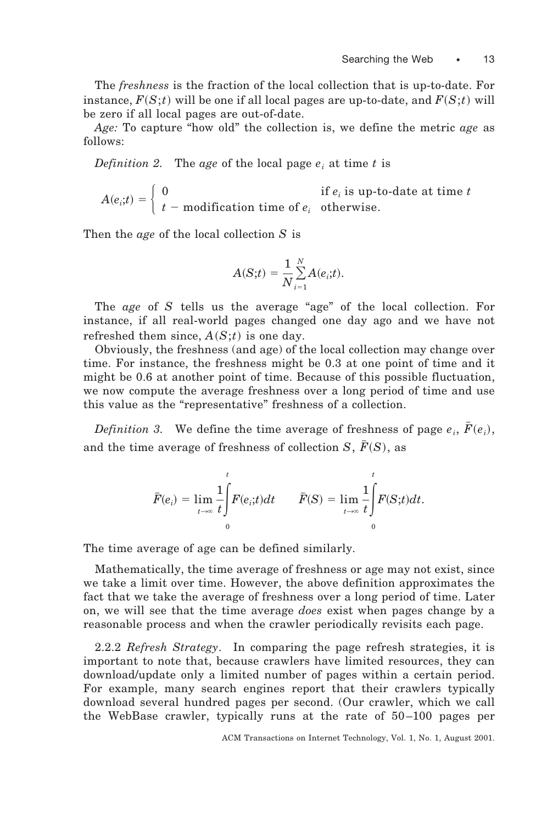The *freshness* is the fraction of the local collection that is up-to-date. For instance,  $F(S;t)$  will be one if all local pages are up-to-date, and  $F(S;t)$  will be zero if all local pages are out-of-date.

*Age:* To capture "how old" the collection is, we define the metric *age* as follows:

*Definition 2.* The *age* of the local page  $e_i$  at time  $t$  is

$$
A(e_i;t) = \begin{cases} 0 & \text{if } e_i \text{ is up-to-date at time } t \\ t - \text{modification time of } e_i & \text{otherwise.} \end{cases}
$$

Then the *age* of the local collection *S* is

$$
A(S;t) = \frac{1}{N} \sum_{i=1}^N A(e_i;t).
$$

The *age* of *S* tells us the average "age" of the local collection. For instance, if all real-world pages changed one day ago and we have not refreshed them since,  $A(S;t)$  is one day.

Obviously, the freshness (and age) of the local collection may change over time. For instance, the freshness might be 0.3 at one point of time and it might be 0.6 at another point of time. Because of this possible fluctuation, we now compute the average freshness over a long period of time and use this value as the "representative" freshness of a collection.

*Definition 3.* We define the time average of freshness of page  $e_i$ ,  $F(e_i)$ , and the time average of freshness of collection  $S$ ,  $\bar{F}(S)$ , as

$$
\bar{F}(e_i) = \lim_{t \to \infty} \frac{1}{t} \int_{0}^{t} F(e_i; t) dt \qquad \bar{F}(S) = \lim_{t \to \infty} \frac{1}{t} \int_{0}^{t} F(S; t) dt.
$$

The time average of age can be defined similarly.

Mathematically, the time average of freshness or age may not exist, since we take a limit over time. However, the above definition approximates the fact that we take the average of freshness over a long period of time. Later on, we will see that the time average *does* exist when pages change by a reasonable process and when the crawler periodically revisits each page.

2.2.2 *Refresh Strategy*. In comparing the page refresh strategies, it is important to note that, because crawlers have limited resources, they can download/update only a limited number of pages within a certain period. For example, many search engines report that their crawlers typically download several hundred pages per second. (Our crawler, which we call the WebBase crawler, typically runs at the rate of 50–100 pages per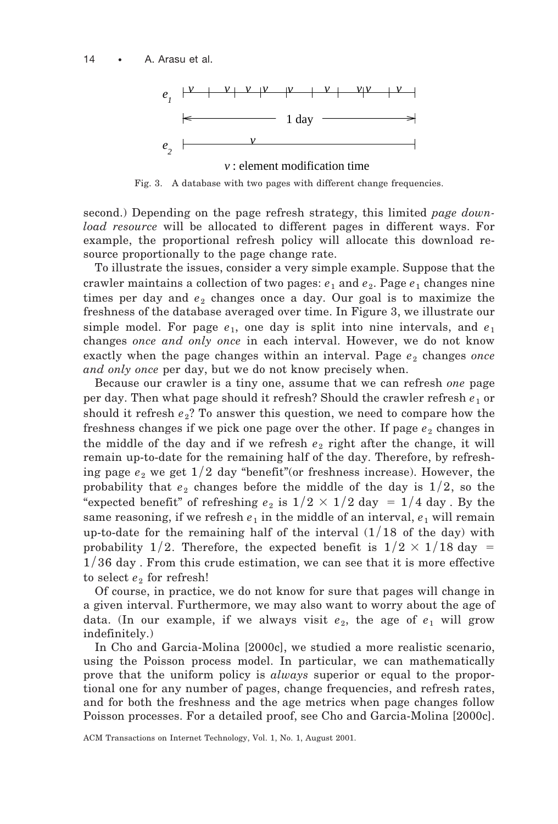

Fig. 3. A database with two pages with different change frequencies.

second.) Depending on the page refresh strategy, this limited *page download resource* will be allocated to different pages in different ways. For example, the proportional refresh policy will allocate this download resource proportionally to the page change rate.

To illustrate the issues, consider a very simple example. Suppose that the crawler maintains a collection of two pages:  $e_1$  and  $e_2$ . Page  $e_1$  changes nine times per day and  $e_2$  changes once a day. Our goal is to maximize the freshness of the database averaged over time. In Figure 3, we illustrate our simple model. For page  $e_1$ , one day is split into nine intervals, and  $e_1$ changes *once and only once* in each interval. However, we do not know exactly when the page changes within an interval. Page  $e_2$  changes *once and only once* per day, but we do not know precisely when.

Because our crawler is a tiny one, assume that we can refresh *one* page per day. Then what page should it refresh? Should the crawler refresh  $e_1$  or should it refresh  $e_2$ ? To answer this question, we need to compare how the freshness changes if we pick one page over the other. If page  $e_2$  changes in the middle of the day and if we refresh  $e_2$  right after the change, it will remain up-to-date for the remaining half of the day. Therefore, by refreshing page  $e_2$  we get  $1/2$  day "benefit"(or freshness increase). However, the probability that  $e_2$  changes before the middle of the day is  $1/2$ , so the "expected benefit" of refreshing  $e_2$  is  $1/2 \times 1/2$  day  $= 1/4$  day. By the same reasoning, if we refresh  $e_1$  in the middle of an interval,  $e_1$  will remain up-to-date for the remaining half of the interval  $(1/18)$  of the day) with probability 1/2. Therefore, the expected benefit is  $1/2 \times 1/18$  day =  $1/36$  day. From this crude estimation, we can see that it is more effective to select  $e_2$  for refresh!

Of course, in practice, we do not know for sure that pages will change in a given interval. Furthermore, we may also want to worry about the age of data. (In our example, if we always visit  $e_2$ , the age of  $e_1$  will grow indefinitely.)

In Cho and Garcia-Molina [2000c], we studied a more realistic scenario, using the Poisson process model. In particular, we can mathematically prove that the uniform policy is *always* superior or equal to the proportional one for any number of pages, change frequencies, and refresh rates, and for both the freshness and the age metrics when page changes follow Poisson processes. For a detailed proof, see Cho and Garcia-Molina [2000c].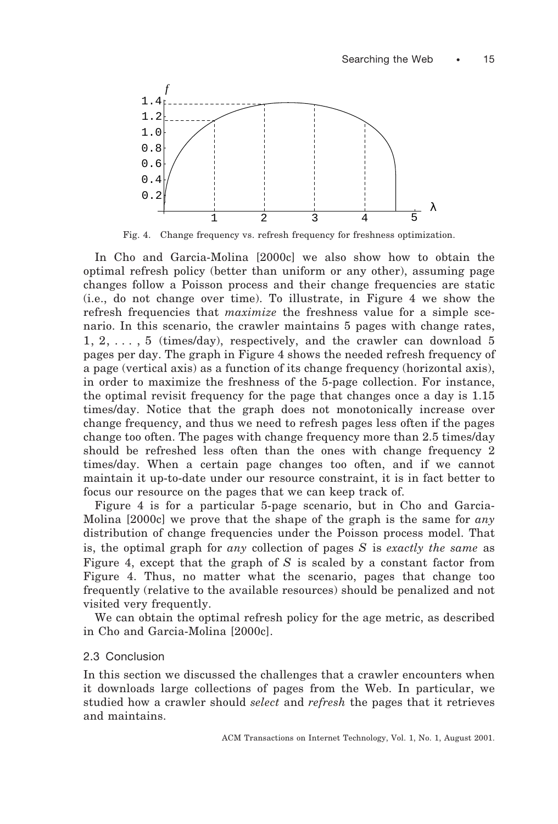

Fig. 4. Change frequency vs. refresh frequency for freshness optimization.

In Cho and Garcia-Molina [2000c] we also show how to obtain the optimal refresh policy (better than uniform or any other), assuming page changes follow a Poisson process and their change frequencies are static (i.e., do not change over time). To illustrate, in Figure 4 we show the refresh frequencies that *maximize* the freshness value for a simple scenario. In this scenario, the crawler maintains 5 pages with change rates,  $1, 2, \ldots, 5$  (times/day), respectively, and the crawler can download 5 pages per day. The graph in Figure 4 shows the needed refresh frequency of a page (vertical axis) as a function of its change frequency (horizontal axis), in order to maximize the freshness of the 5-page collection. For instance, the optimal revisit frequency for the page that changes once a day is 1.15 times/day. Notice that the graph does not monotonically increase over change frequency, and thus we need to refresh pages less often if the pages change too often. The pages with change frequency more than 2.5 times/day should be refreshed less often than the ones with change frequency 2 times/day. When a certain page changes too often, and if we cannot maintain it up-to-date under our resource constraint, it is in fact better to focus our resource on the pages that we can keep track of.

Figure 4 is for a particular 5-page scenario, but in Cho and Garcia-Molina [2000c] we prove that the shape of the graph is the same for *any* distribution of change frequencies under the Poisson process model. That is, the optimal graph for *any* collection of pages *S* is *exactly the same* as Figure 4, except that the graph of *S* is scaled by a constant factor from Figure 4. Thus, no matter what the scenario, pages that change too frequently (relative to the available resources) should be penalized and not visited very frequently.

We can obtain the optimal refresh policy for the age metric, as described in Cho and Garcia-Molina [2000c].

### 2.3 Conclusion

In this section we discussed the challenges that a crawler encounters when it downloads large collections of pages from the Web. In particular, we studied how a crawler should *select* and *refresh* the pages that it retrieves and maintains.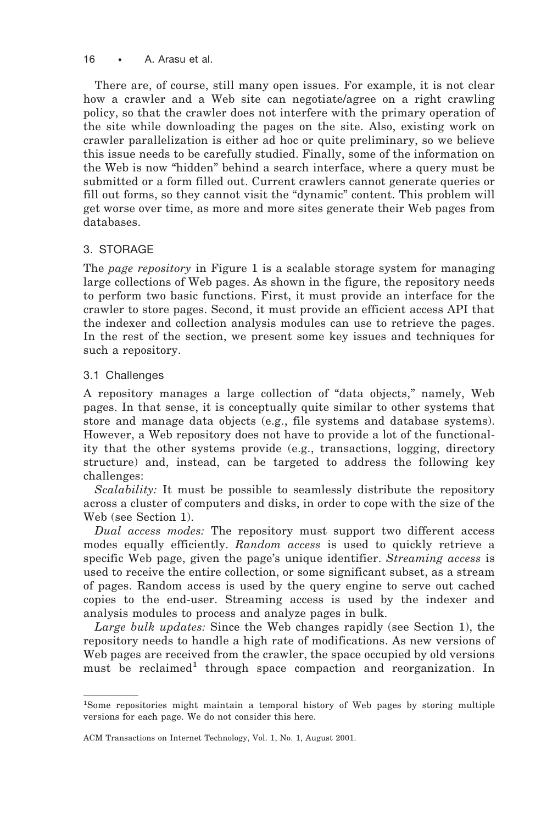16 • A. Arasu et al.

There are, of course, still many open issues. For example, it is not clear how a crawler and a Web site can negotiate/agree on a right crawling policy, so that the crawler does not interfere with the primary operation of the site while downloading the pages on the site. Also, existing work on crawler parallelization is either ad hoc or quite preliminary, so we believe this issue needs to be carefully studied. Finally, some of the information on the Web is now "hidden" behind a search interface, where a query must be submitted or a form filled out. Current crawlers cannot generate queries or fill out forms, so they cannot visit the "dynamic" content. This problem will get worse over time, as more and more sites generate their Web pages from databases.

## 3. STORAGE

The *page repository* in Figure 1 is a scalable storage system for managing large collections of Web pages. As shown in the figure, the repository needs to perform two basic functions. First, it must provide an interface for the crawler to store pages. Second, it must provide an efficient access API that the indexer and collection analysis modules can use to retrieve the pages. In the rest of the section, we present some key issues and techniques for such a repository.

### 3.1 Challenges

A repository manages a large collection of "data objects," namely, Web pages. In that sense, it is conceptually quite similar to other systems that store and manage data objects (e.g., file systems and database systems). However, a Web repository does not have to provide a lot of the functionality that the other systems provide (e.g., transactions, logging, directory structure) and, instead, can be targeted to address the following key challenges:

*Scalability:* It must be possible to seamlessly distribute the repository across a cluster of computers and disks, in order to cope with the size of the Web (see Section 1).

*Dual access modes:* The repository must support two different access modes equally efficiently. *Random access* is used to quickly retrieve a specific Web page, given the page's unique identifier. *Streaming access* is used to receive the entire collection, or some significant subset, as a stream of pages. Random access is used by the query engine to serve out cached copies to the end-user. Streaming access is used by the indexer and analysis modules to process and analyze pages in bulk.

*Large bulk updates:* Since the Web changes rapidly (see Section 1), the repository needs to handle a high rate of modifications. As new versions of Web pages are received from the crawler, the space occupied by old versions must be reclaimed<sup>1</sup> through space compaction and reorganization. In

<sup>1</sup> Some repositories might maintain a temporal history of Web pages by storing multiple versions for each page. We do not consider this here.

ACM Transactions on Internet Technology, Vol. 1, No. 1, August 2001.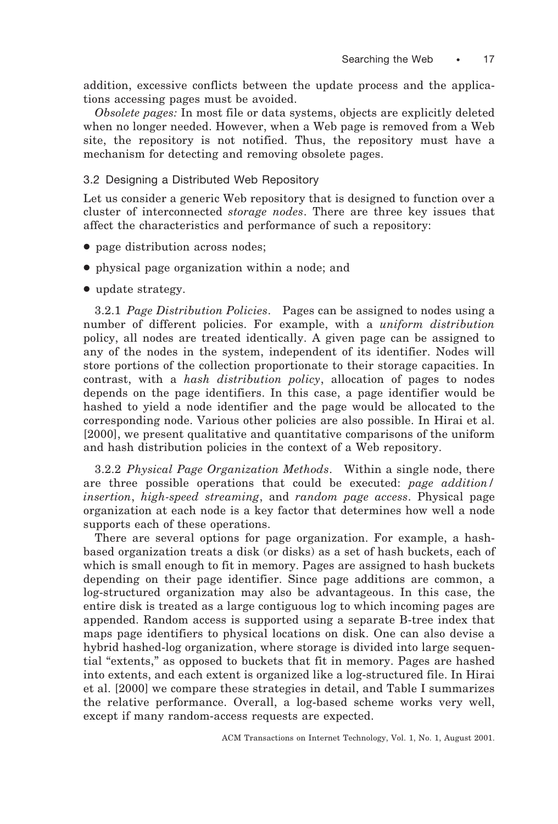addition, excessive conflicts between the update process and the applications accessing pages must be avoided.

*Obsolete pages:* In most file or data systems, objects are explicitly deleted when no longer needed. However, when a Web page is removed from a Web site, the repository is not notified. Thus, the repository must have a mechanism for detecting and removing obsolete pages.

#### 3.2 Designing a Distributed Web Repository

Let us consider a generic Web repository that is designed to function over a cluster of interconnected *storage nodes*. There are three key issues that affect the characteristics and performance of such a repository:

- page distribution across nodes;
- physical page organization within a node; and
- update strategy.

3.2.1 *Page Distribution Policies*. Pages can be assigned to nodes using a number of different policies. For example, with a *uniform distribution* policy, all nodes are treated identically. A given page can be assigned to any of the nodes in the system, independent of its identifier. Nodes will store portions of the collection proportionate to their storage capacities. In contrast, with a *hash distribution policy*, allocation of pages to nodes depends on the page identifiers. In this case, a page identifier would be hashed to yield a node identifier and the page would be allocated to the corresponding node. Various other policies are also possible. In Hirai et al. [2000], we present qualitative and quantitative comparisons of the uniform and hash distribution policies in the context of a Web repository.

3.2.2 *Physical Page Organization Methods*. Within a single node, there are three possible operations that could be executed: *page addition/ insertion*, *high-speed streaming*, and *random page access*. Physical page organization at each node is a key factor that determines how well a node supports each of these operations.

There are several options for page organization. For example, a hashbased organization treats a disk (or disks) as a set of hash buckets, each of which is small enough to fit in memory. Pages are assigned to hash buckets depending on their page identifier. Since page additions are common, a log-structured organization may also be advantageous. In this case, the entire disk is treated as a large contiguous log to which incoming pages are appended. Random access is supported using a separate B-tree index that maps page identifiers to physical locations on disk. One can also devise a hybrid hashed-log organization, where storage is divided into large sequential "extents," as opposed to buckets that fit in memory. Pages are hashed into extents, and each extent is organized like a log-structured file. In Hirai et al. [2000] we compare these strategies in detail, and Table I summarizes the relative performance. Overall, a log-based scheme works very well, except if many random-access requests are expected.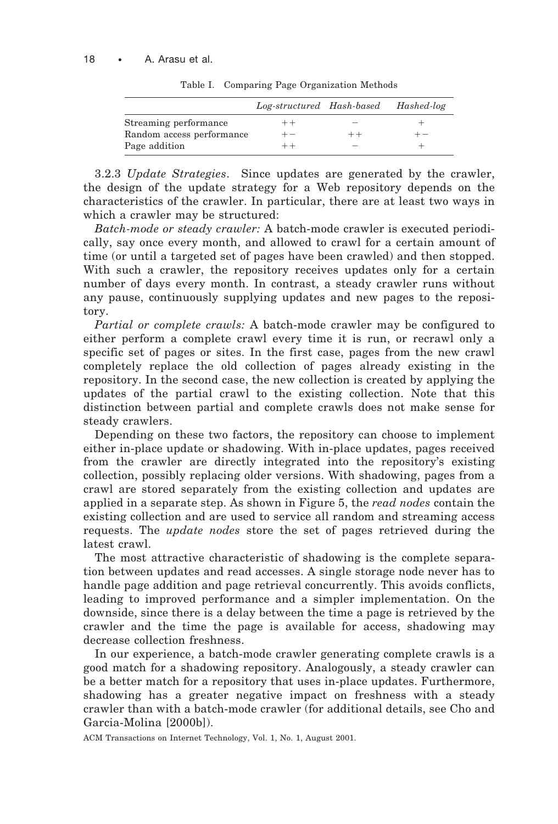|                                                                     | Log-structured Hash-based |                                   | Hashed-log    |
|---------------------------------------------------------------------|---------------------------|-----------------------------------|---------------|
| Streaming performance<br>Random access performance<br>Page addition | $++$<br>$+-$<br>$+ +$     | $\overline{\phantom{a}}$<br>$+ +$ | $\!$<br>$+ -$ |

Table I. Comparing Page Organization Methods

3.2.3 *Update Strategies*. Since updates are generated by the crawler, the design of the update strategy for a Web repository depends on the characteristics of the crawler. In particular, there are at least two ways in which a crawler may be structured:

*Batch-mode or steady crawler:* A batch-mode crawler is executed periodically, say once every month, and allowed to crawl for a certain amount of time (or until a targeted set of pages have been crawled) and then stopped. With such a crawler, the repository receives updates only for a certain number of days every month. In contrast, a steady crawler runs without any pause, continuously supplying updates and new pages to the repository.

*Partial or complete crawls:* A batch-mode crawler may be configured to either perform a complete crawl every time it is run, or recrawl only a specific set of pages or sites. In the first case, pages from the new crawl completely replace the old collection of pages already existing in the repository. In the second case, the new collection is created by applying the updates of the partial crawl to the existing collection. Note that this distinction between partial and complete crawls does not make sense for steady crawlers.

Depending on these two factors, the repository can choose to implement either in-place update or shadowing. With in-place updates, pages received from the crawler are directly integrated into the repository's existing collection, possibly replacing older versions. With shadowing, pages from a crawl are stored separately from the existing collection and updates are applied in a separate step. As shown in Figure 5, the *read nodes* contain the existing collection and are used to service all random and streaming access requests. The *update nodes* store the set of pages retrieved during the latest crawl.

The most attractive characteristic of shadowing is the complete separation between updates and read accesses. A single storage node never has to handle page addition and page retrieval concurrently. This avoids conflicts, leading to improved performance and a simpler implementation. On the downside, since there is a delay between the time a page is retrieved by the crawler and the time the page is available for access, shadowing may decrease collection freshness.

In our experience, a batch-mode crawler generating complete crawls is a good match for a shadowing repository. Analogously, a steady crawler can be a better match for a repository that uses in-place updates. Furthermore, shadowing has a greater negative impact on freshness with a steady crawler than with a batch-mode crawler (for additional details, see Cho and Garcia-Molina [2000b]).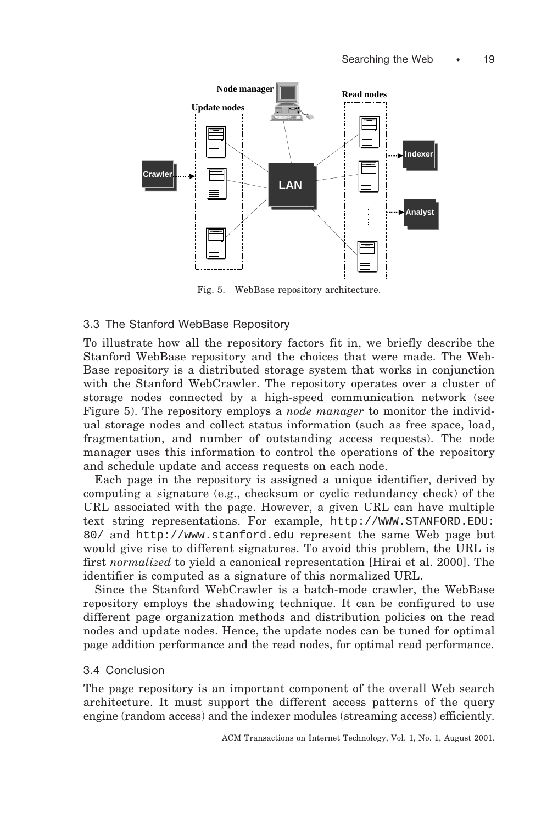

Fig. 5. WebBase repository architecture.

### 3.3 The Stanford WebBase Repository

To illustrate how all the repository factors fit in, we briefly describe the Stanford WebBase repository and the choices that were made. The Web-Base repository is a distributed storage system that works in conjunction with the Stanford WebCrawler. The repository operates over a cluster of storage nodes connected by a high-speed communication network (see Figure 5). The repository employs a *node manager* to monitor the individual storage nodes and collect status information (such as free space, load, fragmentation, and number of outstanding access requests). The node manager uses this information to control the operations of the repository and schedule update and access requests on each node.

Each page in the repository is assigned a unique identifier, derived by computing a signature (e.g., checksum or cyclic redundancy check) of the URL associated with the page. However, a given URL can have multiple text string representations. For example, http://WWW.STANFORD.EDU: 80/ and http://www.stanford.edu represent the same Web page but would give rise to different signatures. To avoid this problem, the URL is first *normalized* to yield a canonical representation [Hirai et al. 2000]. The identifier is computed as a signature of this normalized URL.

Since the Stanford WebCrawler is a batch-mode crawler, the WebBase repository employs the shadowing technique. It can be configured to use different page organization methods and distribution policies on the read nodes and update nodes. Hence, the update nodes can be tuned for optimal page addition performance and the read nodes, for optimal read performance.

#### 3.4 Conclusion

The page repository is an important component of the overall Web search architecture. It must support the different access patterns of the query engine (random access) and the indexer modules (streaming access) efficiently.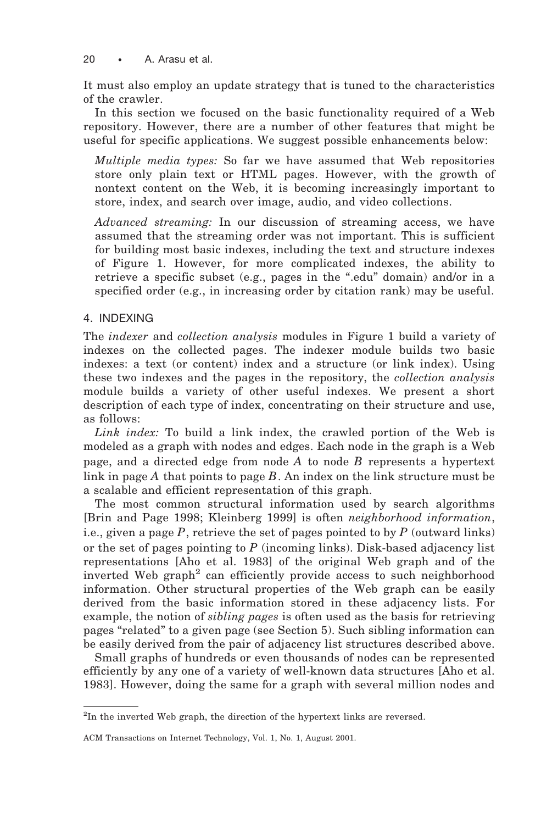20 • A. Arasu et al.

It must also employ an update strategy that is tuned to the characteristics of the crawler.

In this section we focused on the basic functionality required of a Web repository. However, there are a number of other features that might be useful for specific applications. We suggest possible enhancements below:

*Multiple media types:* So far we have assumed that Web repositories store only plain text or HTML pages. However, with the growth of nontext content on the Web, it is becoming increasingly important to store, index, and search over image, audio, and video collections.

*Advanced streaming:* In our discussion of streaming access, we have assumed that the streaming order was not important. This is sufficient for building most basic indexes, including the text and structure indexes of Figure 1. However, for more complicated indexes, the ability to retrieve a specific subset (e.g., pages in the ".edu" domain) and/or in a specified order (e.g., in increasing order by citation rank) may be useful.

# 4. INDEXING

The *indexer* and *collection analysis* modules in Figure 1 build a variety of indexes on the collected pages. The indexer module builds two basic indexes: a text (or content) index and a structure (or link index). Using these two indexes and the pages in the repository, the *collection analysis* module builds a variety of other useful indexes. We present a short description of each type of index, concentrating on their structure and use, as follows:

*Link index:* To build a link index, the crawled portion of the Web is modeled as a graph with nodes and edges. Each node in the graph is a Web page, and a directed edge from node *A* to node *B* represents a hypertext link in page *A* that points to page *B*. An index on the link structure must be a scalable and efficient representation of this graph.

The most common structural information used by search algorithms [Brin and Page 1998; Kleinberg 1999] is often *neighborhood information*, i.e., given a page *P*, retrieve the set of pages pointed to by *P* (outward links) or the set of pages pointing to *P* (incoming links). Disk-based adjacency list representations [Aho et al. 1983] of the original Web graph and of the inverted Web graph<sup>2</sup> can efficiently provide access to such neighborhood information. Other structural properties of the Web graph can be easily derived from the basic information stored in these adjacency lists. For example, the notion of *sibling pages* is often used as the basis for retrieving pages "related" to a given page (see Section 5). Such sibling information can be easily derived from the pair of adjacency list structures described above.

Small graphs of hundreds or even thousands of nodes can be represented efficiently by any one of a variety of well-known data structures [Aho et al. 1983]. However, doing the same for a graph with several million nodes and

<sup>&</sup>lt;sup>2</sup>In the inverted Web graph, the direction of the hypertext links are reversed.

ACM Transactions on Internet Technology, Vol. 1, No. 1, August 2001.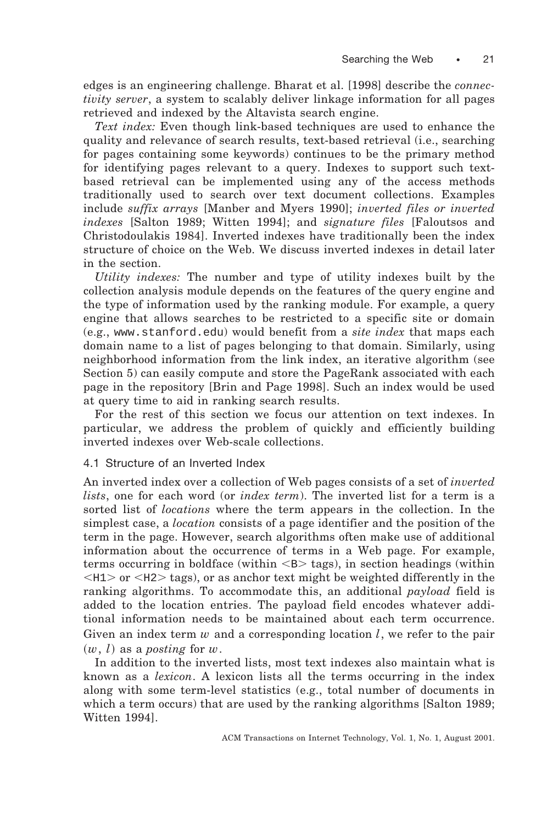edges is an engineering challenge. Bharat et al. [1998] describe the *connectivity server*, a system to scalably deliver linkage information for all pages retrieved and indexed by the Altavista search engine.

*Text index:* Even though link-based techniques are used to enhance the quality and relevance of search results, text-based retrieval (i.e., searching for pages containing some keywords) continues to be the primary method for identifying pages relevant to a query. Indexes to support such textbased retrieval can be implemented using any of the access methods traditionally used to search over text document collections. Examples include *suffix arrays* [Manber and Myers 1990]; *inverted files or inverted indexes* [Salton 1989; Witten 1994]; and *signature files* [Faloutsos and Christodoulakis 1984]. Inverted indexes have traditionally been the index structure of choice on the Web. We discuss inverted indexes in detail later in the section.

*Utility indexes:* The number and type of utility indexes built by the collection analysis module depends on the features of the query engine and the type of information used by the ranking module. For example, a query engine that allows searches to be restricted to a specific site or domain (e.g., www.stanford.edu) would benefit from a *site index* that maps each domain name to a list of pages belonging to that domain. Similarly, using neighborhood information from the link index, an iterative algorithm (see Section 5) can easily compute and store the PageRank associated with each page in the repository [Brin and Page 1998]. Such an index would be used at query time to aid in ranking search results.

For the rest of this section we focus our attention on text indexes. In particular, we address the problem of quickly and efficiently building inverted indexes over Web-scale collections.

### 4.1 Structure of an Inverted Index

An inverted index over a collection of Web pages consists of a set of *inverted lists*, one for each word (or *index term*). The inverted list for a term is a sorted list of *locations* where the term appears in the collection. In the simplest case, a *location* consists of a page identifier and the position of the term in the page. However, search algorithms often make use of additional information about the occurrence of terms in a Web page. For example, terms occurring in boldface (within  $\leq B$ ) tags), in section headings (within  $\langle H1 \rangle$  or  $\langle H2 \rangle$  tags), or as anchor text might be weighted differently in the ranking algorithms. To accommodate this, an additional *payload* field is added to the location entries. The payload field encodes whatever additional information needs to be maintained about each term occurrence. Given an index term *w* and a corresponding location *l*, we refer to the pair  $(w, l)$  as a *posting* for *w*.

In addition to the inverted lists, most text indexes also maintain what is known as a *lexicon*. A lexicon lists all the terms occurring in the index along with some term-level statistics (e.g., total number of documents in which a term occurs) that are used by the ranking algorithms [Salton 1989; Witten 1994].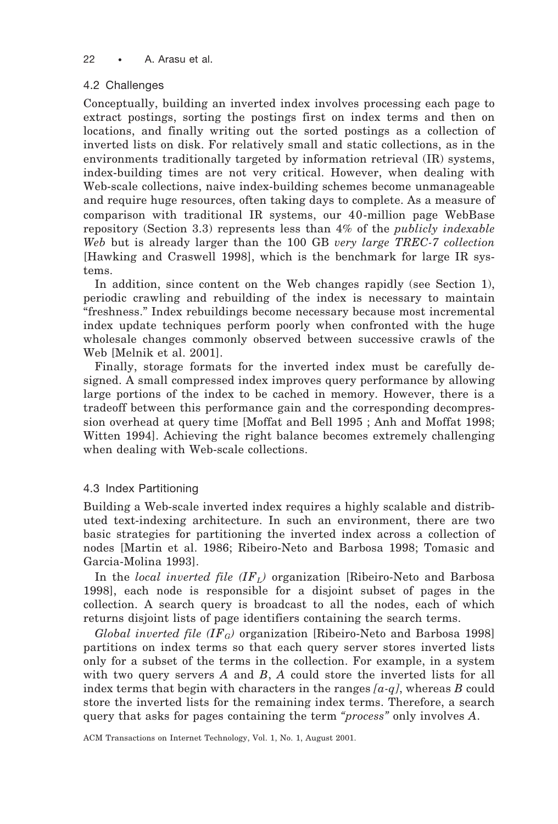## 4.2 Challenges

Conceptually, building an inverted index involves processing each page to extract postings, sorting the postings first on index terms and then on locations, and finally writing out the sorted postings as a collection of inverted lists on disk. For relatively small and static collections, as in the environments traditionally targeted by information retrieval (IR) systems, index-building times are not very critical. However, when dealing with Web-scale collections, naive index-building schemes become unmanageable and require huge resources, often taking days to complete. As a measure of comparison with traditional IR systems, our 40-million page WebBase repository (Section 3.3) represents less than 4% of the *publicly indexable Web* but is already larger than the 100 GB *very large TREC-7 collection* [Hawking and Craswell 1998], which is the benchmark for large IR systems.

In addition, since content on the Web changes rapidly (see Section 1), periodic crawling and rebuilding of the index is necessary to maintain "freshness." Index rebuildings become necessary because most incremental index update techniques perform poorly when confronted with the huge wholesale changes commonly observed between successive crawls of the Web [Melnik et al. 2001].

Finally, storage formats for the inverted index must be carefully designed. A small compressed index improves query performance by allowing large portions of the index to be cached in memory. However, there is a tradeoff between this performance gain and the corresponding decompression overhead at query time [Moffat and Bell 1995 ; Anh and Moffat 1998; Witten 1994]. Achieving the right balance becomes extremely challenging when dealing with Web-scale collections.

## 4.3 Index Partitioning

Building a Web-scale inverted index requires a highly scalable and distributed text-indexing architecture. In such an environment, there are two basic strategies for partitioning the inverted index across a collection of nodes [Martin et al. 1986; Ribeiro-Neto and Barbosa 1998; Tomasic and Garcia-Molina 1993].

In the *local inverted file*  $(IF<sub>L</sub>)$  organization [Ribeiro-Neto and Barbosa 1998], each node is responsible for a disjoint subset of pages in the collection. A search query is broadcast to all the nodes, each of which returns disjoint lists of page identifiers containing the search terms.

*Global inverted file*  $(\text{IF}_{G})$  organization [Ribeiro-Neto and Barbosa 1998] partitions on index terms so that each query server stores inverted lists only for a subset of the terms in the collection. For example, in a system with two query servers *A* and *B*, *A* could store the inverted lists for all index terms that begin with characters in the ranges *[a-q]*, whereas *B* could store the inverted lists for the remaining index terms. Therefore, a search query that asks for pages containing the term *"process"* only involves *A*.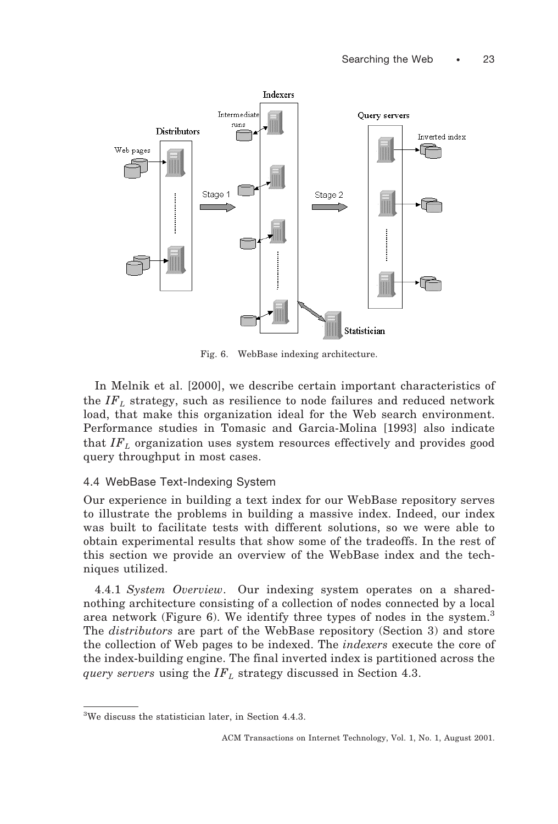

Fig. 6. WebBase indexing architecture.

In Melnik et al. [2000], we describe certain important characteristics of the  $IF<sub>L</sub>$  strategy, such as resilience to node failures and reduced network load, that make this organization ideal for the Web search environment. Performance studies in Tomasic and Garcia-Molina [1993] also indicate that *IFL* organization uses system resources effectively and provides good query throughput in most cases.

## 4.4 WebBase Text-Indexing System

Our experience in building a text index for our WebBase repository serves to illustrate the problems in building a massive index. Indeed, our index was built to facilitate tests with different solutions, so we were able to obtain experimental results that show some of the tradeoffs. In the rest of this section we provide an overview of the WebBase index and the techniques utilized.

4.4.1 *System Overview*. Our indexing system operates on a sharednothing architecture consisting of a collection of nodes connected by a local area network (Figure 6). We identify three types of nodes in the system.<sup>3</sup> The *distributors* are part of the WebBase repository (Section 3) and store the collection of Web pages to be indexed. The *indexers* execute the core of the index-building engine. The final inverted index is partitioned across the *query servers* using the  $IF_L$  strategy discussed in Section 4.3.

<sup>3</sup> We discuss the statistician later, in Section 4.4.3.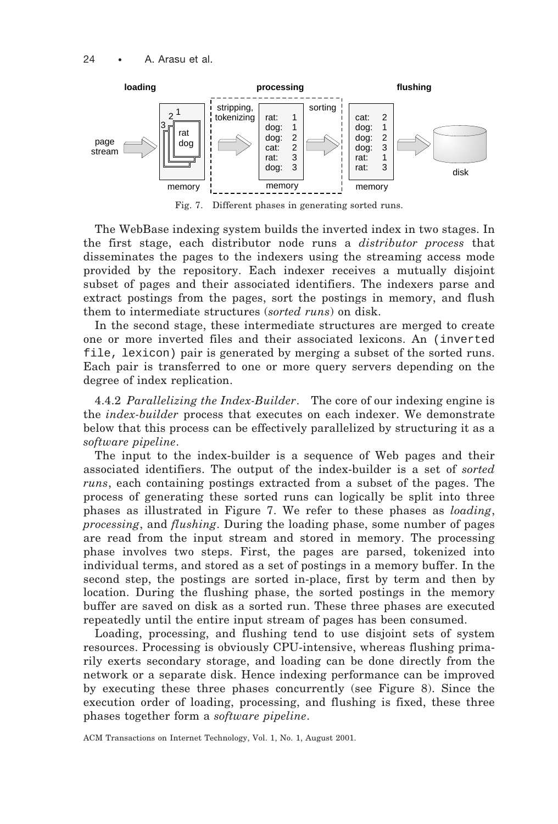

The WebBase indexing system builds the inverted index in two stages. In the first stage, each distributor node runs a *distributor process* that disseminates the pages to the indexers using the streaming access mode provided by the repository. Each indexer receives a mutually disjoint subset of pages and their associated identifiers. The indexers parse and extract postings from the pages, sort the postings in memory, and flush them to intermediate structures (*sorted runs*) on disk.

In the second stage, these intermediate structures are merged to create one or more inverted files and their associated lexicons. An (inverted file, lexicon) pair is generated by merging a subset of the sorted runs. Each pair is transferred to one or more query servers depending on the degree of index replication.

4.4.2 *Parallelizing the Index-Builder*. The core of our indexing engine is the *index-builder* process that executes on each indexer. We demonstrate below that this process can be effectively parallelized by structuring it as a *software pipeline*.

The input to the index-builder is a sequence of Web pages and their associated identifiers. The output of the index-builder is a set of *sorted runs*, each containing postings extracted from a subset of the pages. The process of generating these sorted runs can logically be split into three phases as illustrated in Figure 7. We refer to these phases as *loading*, *processing*, and *flushing*. During the loading phase, some number of pages are read from the input stream and stored in memory. The processing phase involves two steps. First, the pages are parsed, tokenized into individual terms, and stored as a set of postings in a memory buffer. In the second step, the postings are sorted in-place, first by term and then by location. During the flushing phase, the sorted postings in the memory buffer are saved on disk as a sorted run. These three phases are executed repeatedly until the entire input stream of pages has been consumed.

Loading, processing, and flushing tend to use disjoint sets of system resources. Processing is obviously CPU-intensive, whereas flushing primarily exerts secondary storage, and loading can be done directly from the network or a separate disk. Hence indexing performance can be improved by executing these three phases concurrently (see Figure 8). Since the execution order of loading, processing, and flushing is fixed, these three phases together form a *software pipeline*.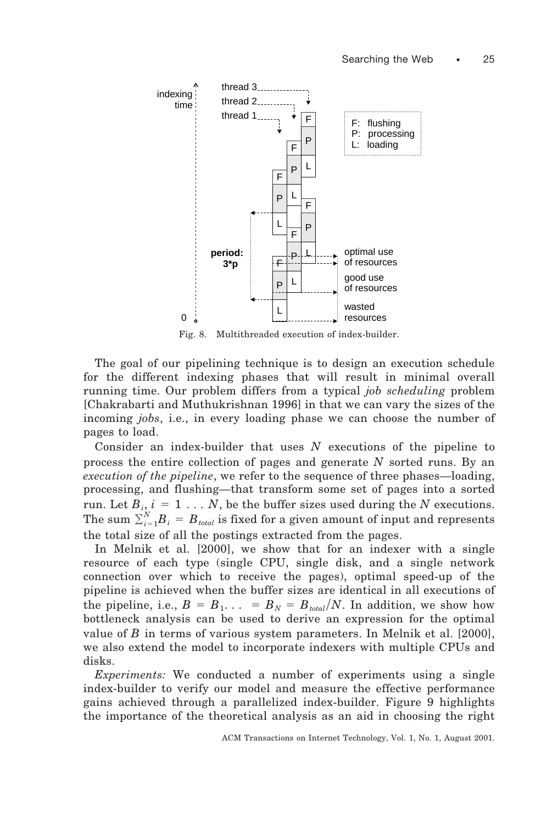

Fig. 8. Multithreaded execution of index-builder.

The goal of our pipelining technique is to design an execution schedule for the different indexing phases that will result in minimal overall running time. Our problem differs from a typical *job scheduling* problem [Chakrabarti and Muthukrishnan 1996] in that we can vary the sizes of the incoming *jobs*, i.e., in every loading phase we can choose the number of pages to load.

Consider an index-builder that uses *N* executions of the pipeline to process the entire collection of pages and generate *N* sorted runs. By an *execution of the pipeline*, we refer to the sequence of three phases—loading, processing, and flushing—that transform some set of pages into a sorted run. Let  $B_i$ ,  $i = 1 \ldots N$ , be the buffer sizes used during the *N* executions. The sum  $\sum_{i=1}^{N} B_i = B_{total}$  is fixed for a given amount of input and represents the total size of all the postings extracted from the pages.

In Melnik et al. [2000], we show that for an indexer with a single resource of each type (single CPU, single disk, and a single network connection over which to receive the pages), optimal speed-up of the pipeline is achieved when the buffer sizes are identical in all executions of the pipeline, i.e.,  $B = B_1$ ... =  $B_N = B_{total}/N$ . In addition, we show how bottleneck analysis can be used to derive an expression for the optimal value of *B* in terms of various system parameters. In Melnik et al. [2000], we also extend the model to incorporate indexers with multiple CPUs and disks.

*Experiments:* We conducted a number of experiments using a single index-builder to verify our model and measure the effective performance gains achieved through a parallelized index-builder. Figure 9 highlights the importance of the theoretical analysis as an aid in choosing the right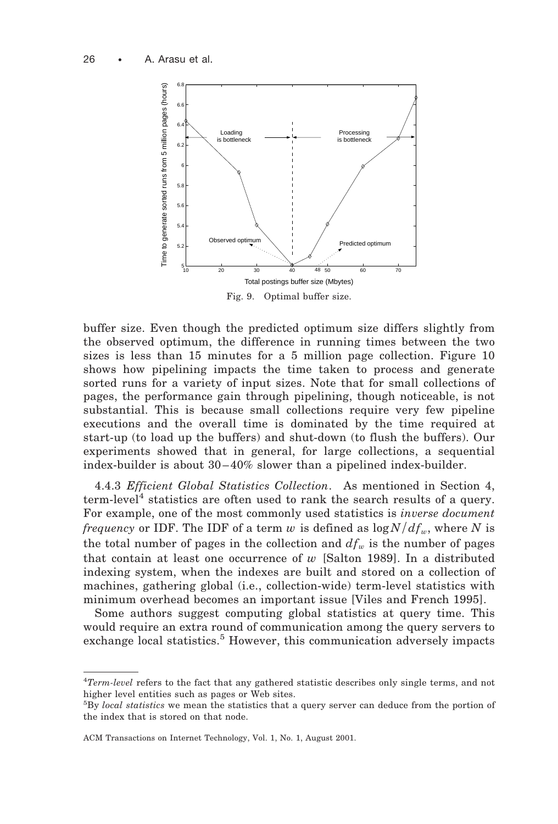

buffer size. Even though the predicted optimum size differs slightly from the observed optimum, the difference in running times between the two sizes is less than 15 minutes for a 5 million page collection. Figure 10 shows how pipelining impacts the time taken to process and generate sorted runs for a variety of input sizes. Note that for small collections of pages, the performance gain through pipelining, though noticeable, is not substantial. This is because small collections require very few pipeline executions and the overall time is dominated by the time required at start-up (to load up the buffers) and shut-down (to flush the buffers). Our experiments showed that in general, for large collections, a sequential index-builder is about 30–40% slower than a pipelined index-builder.

4.4.3 *Efficient Global Statistics Collection*. As mentioned in Section 4, term-level<sup>4</sup> statistics are often used to rank the search results of a query. For example, one of the most commonly used statistics is *inverse document frequency* or IDF. The IDF of a term *w* is defined as  $\log N/df_w$ , where *N* is the total number of pages in the collection and  $df_w$  is the number of pages that contain at least one occurrence of *w* [Salton 1989]. In a distributed indexing system, when the indexes are built and stored on a collection of machines, gathering global (i.e., collection-wide) term-level statistics with minimum overhead becomes an important issue [Viles and French 1995].

Some authors suggest computing global statistics at query time. This would require an extra round of communication among the query servers to exchange local statistics.<sup>5</sup> However, this communication adversely impacts

<sup>4</sup> *Term-level* refers to the fact that any gathered statistic describes only single terms, and not higher level entities such as pages or Web sites.

<sup>5</sup> By *local statistics* we mean the statistics that a query server can deduce from the portion of the index that is stored on that node.

ACM Transactions on Internet Technology, Vol. 1, No. 1, August 2001.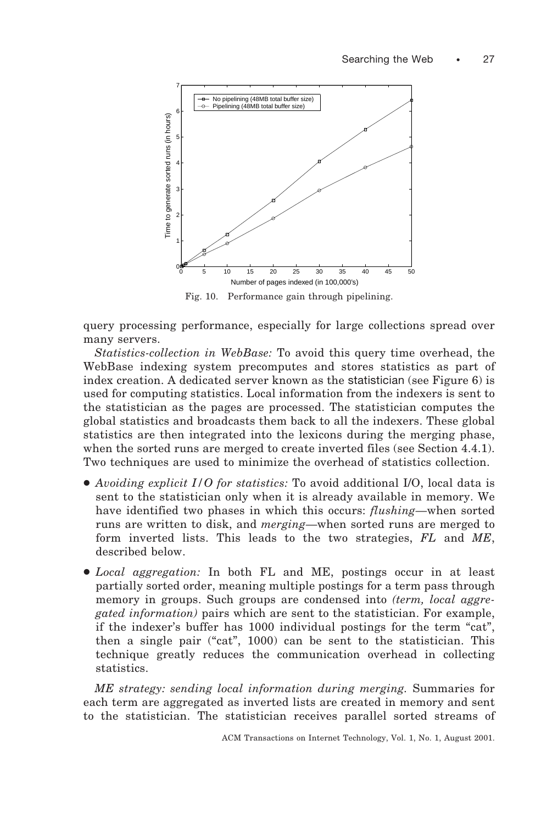

Fig. 10. Performance gain through pipelining.

query processing performance, especially for large collections spread over many servers.

*Statistics-collection in WebBase:* To avoid this query time overhead, the WebBase indexing system precomputes and stores statistics as part of index creation. A dedicated server known as the statistician (see Figure 6) is used for computing statistics. Local information from the indexers is sent to the statistician as the pages are processed. The statistician computes the global statistics and broadcasts them back to all the indexers. These global statistics are then integrated into the lexicons during the merging phase, when the sorted runs are merged to create inverted files (see Section 4.4.1). Two techniques are used to minimize the overhead of statistics collection.

- *Avoiding explicit I/O for statistics:* To avoid additional I/O, local data is sent to the statistician only when it is already available in memory. We have identified two phases in which this occurs: *flushing*—when sorted runs are written to disk, and *merging*—when sorted runs are merged to form inverted lists. This leads to the two strategies, *FL* and *ME*, described below.
- *Local aggregation:* In both FL and ME, postings occur in at least partially sorted order, meaning multiple postings for a term pass through memory in groups. Such groups are condensed into *(term, local aggregated information)* pairs which are sent to the statistician. For example, if the indexer's buffer has 1000 individual postings for the term "cat", then a single pair ("cat", 1000) can be sent to the statistician. This technique greatly reduces the communication overhead in collecting statistics.

*ME strategy: sending local information during merging.* Summaries for each term are aggregated as inverted lists are created in memory and sent to the statistician. The statistician receives parallel sorted streams of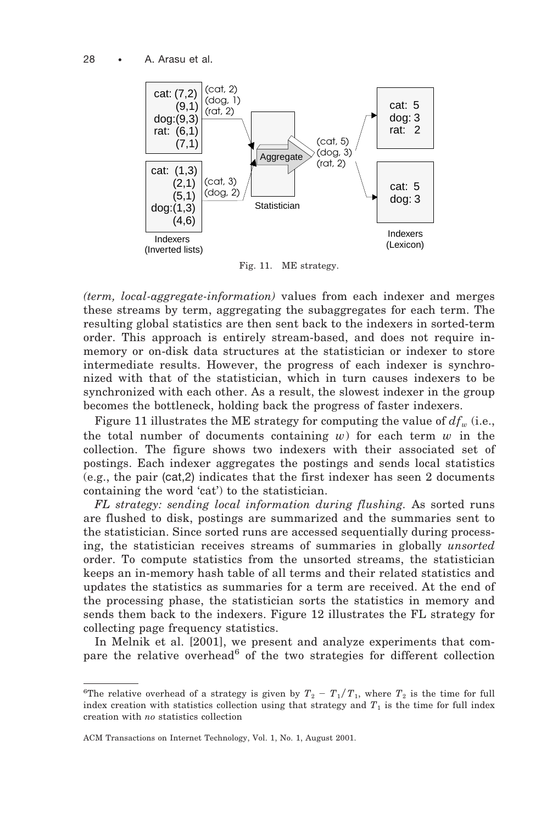

Fig. 11. ME strategy.

*(term, local-aggregate-information)* values from each indexer and merges these streams by term, aggregating the subaggregates for each term. The resulting global statistics are then sent back to the indexers in sorted-term order. This approach is entirely stream-based, and does not require inmemory or on-disk data structures at the statistician or indexer to store intermediate results. However, the progress of each indexer is synchronized with that of the statistician, which in turn causes indexers to be synchronized with each other. As a result, the slowest indexer in the group becomes the bottleneck, holding back the progress of faster indexers.

Figure 11 illustrates the ME strategy for computing the value of  $df_w$  (i.e., the total number of documents containing *w*) for each term *w* in the collection. The figure shows two indexers with their associated set of postings. Each indexer aggregates the postings and sends local statistics (e.g., the pair (cat,2) indicates that the first indexer has seen 2 documents containing the word 'cat') to the statistician.

*FL strategy: sending local information during flushing.* As sorted runs are flushed to disk, postings are summarized and the summaries sent to the statistician. Since sorted runs are accessed sequentially during processing, the statistician receives streams of summaries in globally *unsorted* order. To compute statistics from the unsorted streams, the statistician keeps an in-memory hash table of all terms and their related statistics and updates the statistics as summaries for a term are received. At the end of the processing phase, the statistician sorts the statistics in memory and sends them back to the indexers. Figure 12 illustrates the FL strategy for collecting page frequency statistics.

In Melnik et al. [2001], we present and analyze experiments that compare the relative overhead<sup>6</sup> of the two strategies for different collection

<sup>&</sup>lt;sup>6</sup>The relative overhead of a strategy is given by  $T_2 - T_1/T_1$ , where  $T_2$  is the time for full index creation with statistics collection using that strategy and  $T_1$  is the time for full index creation with *no* statistics collection

ACM Transactions on Internet Technology, Vol. 1, No. 1, August 2001.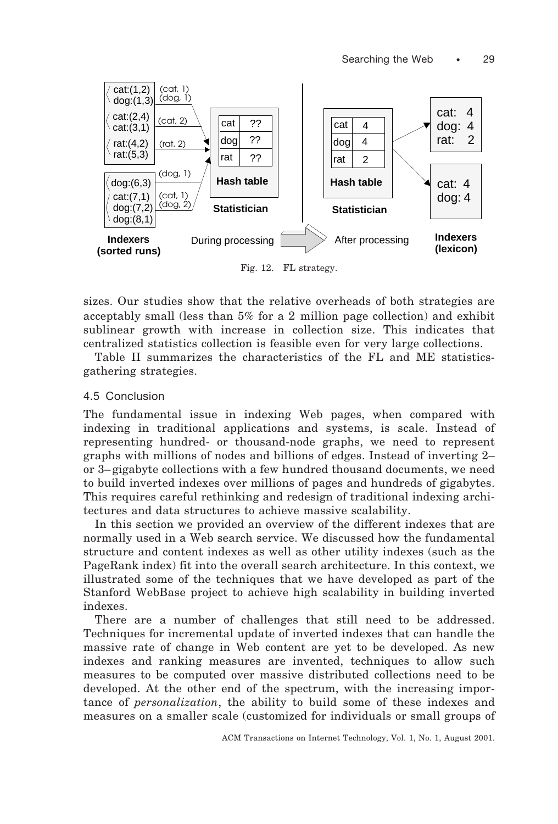

Fig. 12. FL strategy.

sizes. Our studies show that the relative overheads of both strategies are acceptably small (less than 5% for a 2 million page collection) and exhibit sublinear growth with increase in collection size. This indicates that centralized statistics collection is feasible even for very large collections.

Table II summarizes the characteristics of the FL and ME statisticsgathering strategies.

## 4.5 Conclusion

The fundamental issue in indexing Web pages, when compared with indexing in traditional applications and systems, is scale. Instead of representing hundred- or thousand-node graphs, we need to represent graphs with millions of nodes and billions of edges. Instead of inverting 2– or 3–gigabyte collections with a few hundred thousand documents, we need to build inverted indexes over millions of pages and hundreds of gigabytes. This requires careful rethinking and redesign of traditional indexing architectures and data structures to achieve massive scalability.

In this section we provided an overview of the different indexes that are normally used in a Web search service. We discussed how the fundamental structure and content indexes as well as other utility indexes (such as the PageRank index) fit into the overall search architecture. In this context, we illustrated some of the techniques that we have developed as part of the Stanford WebBase project to achieve high scalability in building inverted indexes.

There are a number of challenges that still need to be addressed. Techniques for incremental update of inverted indexes that can handle the massive rate of change in Web content are yet to be developed. As new indexes and ranking measures are invented, techniques to allow such measures to be computed over massive distributed collections need to be developed. At the other end of the spectrum, with the increasing importance of *personalization*, the ability to build some of these indexes and measures on a smaller scale (customized for individuals or small groups of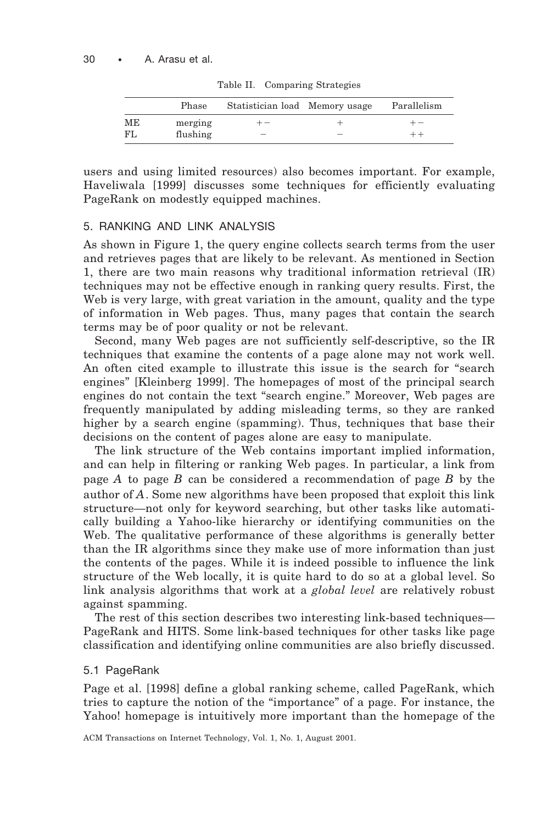| Parallelism   | Statistician load Memory usage<br>Phase |    |
|---------------|-----------------------------------------|----|
| $+-$<br>$+ +$ | merging                                 | MЕ |
|               | flushing                                | FL |

Table II. Comparing Strategies

users and using limited resources) also becomes important. For example, Haveliwala [1999] discusses some techniques for efficiently evaluating PageRank on modestly equipped machines.

## 5. RANKING AND LINK ANALYSIS

As shown in Figure 1, the query engine collects search terms from the user and retrieves pages that are likely to be relevant. As mentioned in Section 1, there are two main reasons why traditional information retrieval (IR) techniques may not be effective enough in ranking query results. First, the Web is very large, with great variation in the amount, quality and the type of information in Web pages. Thus, many pages that contain the search terms may be of poor quality or not be relevant.

Second, many Web pages are not sufficiently self-descriptive, so the IR techniques that examine the contents of a page alone may not work well. An often cited example to illustrate this issue is the search for "search engines" [Kleinberg 1999]. The homepages of most of the principal search engines do not contain the text "search engine." Moreover, Web pages are frequently manipulated by adding misleading terms, so they are ranked higher by a search engine (spamming). Thus, techniques that base their decisions on the content of pages alone are easy to manipulate.

The link structure of the Web contains important implied information, and can help in filtering or ranking Web pages. In particular, a link from page *A* to page *B* can be considered a recommendation of page *B* by the author of *A*. Some new algorithms have been proposed that exploit this link structure—not only for keyword searching, but other tasks like automatically building a Yahoo-like hierarchy or identifying communities on the Web. The qualitative performance of these algorithms is generally better than the IR algorithms since they make use of more information than just the contents of the pages. While it is indeed possible to influence the link structure of the Web locally, it is quite hard to do so at a global level. So link analysis algorithms that work at a *global level* are relatively robust against spamming.

The rest of this section describes two interesting link-based techniques— PageRank and HITS. Some link-based techniques for other tasks like page classification and identifying online communities are also briefly discussed.

#### 5.1 PageRank

Page et al. [1998] define a global ranking scheme, called PageRank, which tries to capture the notion of the "importance" of a page. For instance, the Yahoo! homepage is intuitively more important than the homepage of the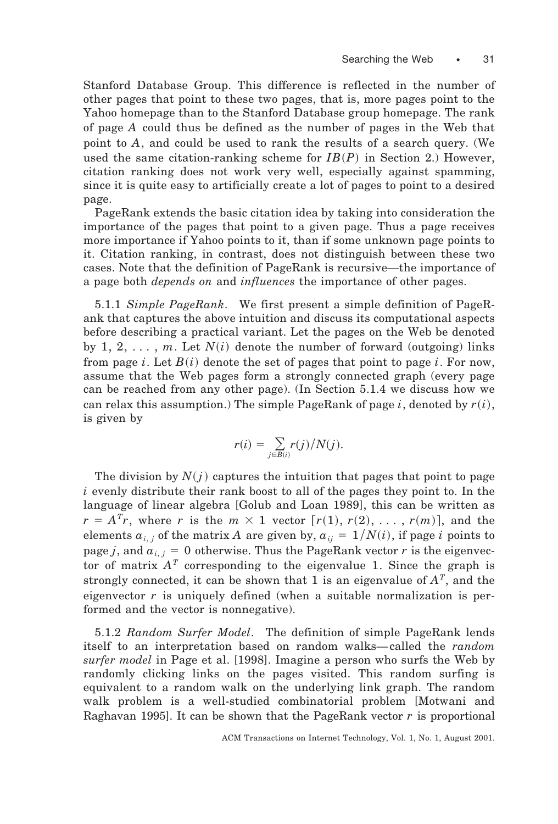Stanford Database Group. This difference is reflected in the number of other pages that point to these two pages, that is, more pages point to the Yahoo homepage than to the Stanford Database group homepage. The rank of page *A* could thus be defined as the number of pages in the Web that point to *A*, and could be used to rank the results of a search query. (We used the same citation-ranking scheme for  $IB(P)$  in Section 2.) However, citation ranking does not work very well, especially against spamming, since it is quite easy to artificially create a lot of pages to point to a desired page.

PageRank extends the basic citation idea by taking into consideration the importance of the pages that point to a given page. Thus a page receives more importance if Yahoo points to it, than if some unknown page points to it. Citation ranking, in contrast, does not distinguish between these two cases. Note that the definition of PageRank is recursive—the importance of a page both *depends on* and *influences* the importance of other pages.

5.1.1 *Simple PageRank*. We first present a simple definition of PageRank that captures the above intuition and discuss its computational aspects before describing a practical variant. Let the pages on the Web be denoted by 1, 2,  $\dots$ , *m*. Let  $N(i)$  denote the number of forward (outgoing) links from page *i*. Let  $B(i)$  denote the set of pages that point to page *i*. For now, assume that the Web pages form a strongly connected graph (every page can be reached from any other page). (In Section 5.1.4 we discuss how we can relax this assumption.) The simple PageRank of page *i*, denoted by  $r(i)$ , is given by

$$
r(i) = \sum_{j \in B(i)} r(j) / N(j).
$$

The division by  $N(i)$  captures the intuition that pages that point to page *i* evenly distribute their rank boost to all of the pages they point to. In the language of linear algebra [Golub and Loan 1989], this can be written as  $r = A^{T}r$ , where *r* is the  $m \times 1$  vector  $[r(1), r(2), \ldots, r(m)]$ , and the elements  $a_{i,j}$  of the matrix *A* are given by,  $a_{ij} = 1/N(i)$ , if page *i* points to page *j*, and  $a_{i,j} = 0$  otherwise. Thus the PageRank vector *r* is the eigenvector of matrix  $A<sup>T</sup>$  corresponding to the eigenvalue 1. Since the graph is strongly connected, it can be shown that 1 is an eigenvalue of  $A<sup>T</sup>$ , and the eigenvector  $r$  is uniquely defined (when a suitable normalization is performed and the vector is nonnegative).

5.1.2 *Random Surfer Model*. The definition of simple PageRank lends itself to an interpretation based on random walks—called the *random surfer model* in Page et al. [1998]. Imagine a person who surfs the Web by randomly clicking links on the pages visited. This random surfing is equivalent to a random walk on the underlying link graph. The random walk problem is a well-studied combinatorial problem [Motwani and Raghavan 1995]. It can be shown that the PageRank vector *r* is proportional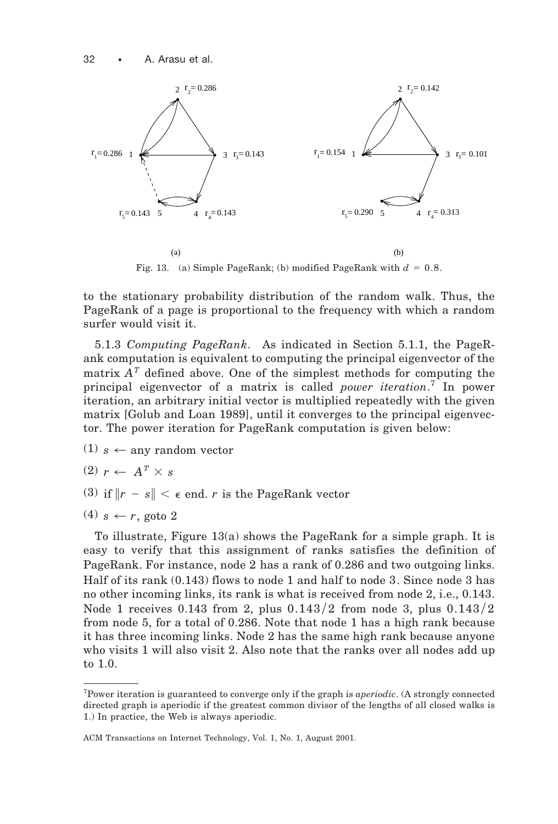

Fig. 13. (a) Simple PageRank; (b) modified PageRank with  $d = 0.8$ .

to the stationary probability distribution of the random walk. Thus, the PageRank of a page is proportional to the frequency with which a random surfer would visit it.

5.1.3 *Computing PageRank*. As indicated in Section 5.1.1, the PageRank computation is equivalent to computing the principal eigenvector of the matrix  $A<sup>T</sup>$  defined above. One of the simplest methods for computing the principal eigenvector of a matrix is called *power iteration*. <sup>7</sup> In power iteration, an arbitrary initial vector is multiplied repeatedly with the given matrix [Golub and Loan 1989], until it converges to the principal eigenvector. The power iteration for PageRank computation is given below:

 $(1)$   $s \leftarrow$  any random vector

$$
(2) r \leftarrow A^T \times s
$$

- (3) if  $\|r s\| < \epsilon$  end. *r* is the PageRank vector
- (4)  $s \leftarrow r$ , goto 2

To illustrate, Figure 13(a) shows the PageRank for a simple graph. It is easy to verify that this assignment of ranks satisfies the definition of PageRank. For instance, node 2 has a rank of 0.286 and two outgoing links. Half of its rank (0.143) flows to node 1 and half to node 3. Since node 3 has no other incoming links, its rank is what is received from node 2, i.e., 0.143. Node 1 receives 0.143 from 2, plus  $0.143/2$  from node 3, plus  $0.143/2$ from node 5, for a total of 0.286. Note that node 1 has a high rank because it has three incoming links. Node 2 has the same high rank because anyone who visits 1 will also visit 2. Also note that the ranks over all nodes add up to 1.0.

<sup>7</sup> Power iteration is guaranteed to converge only if the graph is *aperiodic*. (A strongly connected directed graph is aperiodic if the greatest common divisor of the lengths of all closed walks is 1.) In practice, the Web is always aperiodic.

ACM Transactions on Internet Technology, Vol. 1, No. 1, August 2001.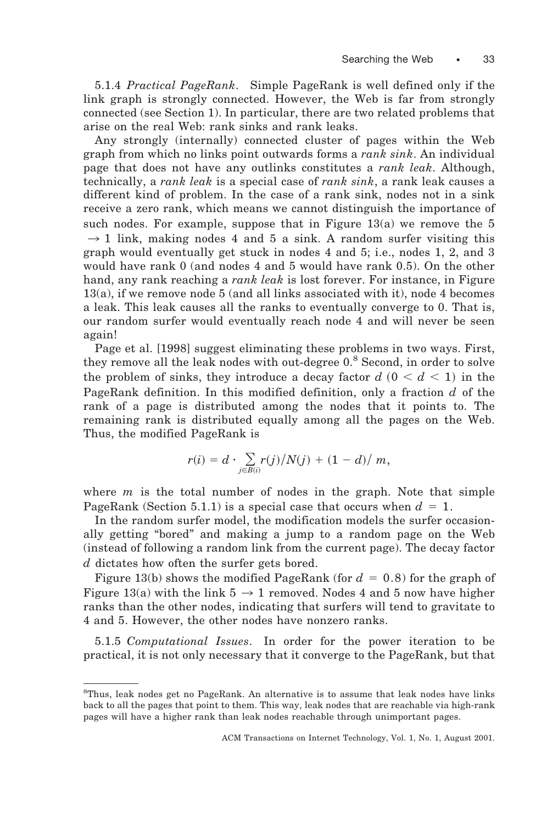5.1.4 *Practical PageRank*. Simple PageRank is well defined only if the link graph is strongly connected. However, the Web is far from strongly connected (see Section 1). In particular, there are two related problems that arise on the real Web: rank sinks and rank leaks.

Any strongly (internally) connected cluster of pages within the Web graph from which no links point outwards forms a *rank sink*. An individual page that does not have any outlinks constitutes a *rank leak*. Although, technically, a *rank leak* is a special case of *rank sink*, a rank leak causes a different kind of problem. In the case of a rank sink, nodes not in a sink receive a zero rank, which means we cannot distinguish the importance of such nodes. For example, suppose that in Figure  $13(a)$  we remove the 5  $\rightarrow$  1 link, making nodes 4 and 5 a sink. A random surfer visiting this graph would eventually get stuck in nodes 4 and 5; i.e., nodes 1, 2, and 3 would have rank 0 (and nodes 4 and 5 would have rank 0.5). On the other hand, any rank reaching a *rank leak* is lost forever. For instance, in Figure  $13(a)$ , if we remove node 5 (and all links associated with it), node 4 becomes a leak. This leak causes all the ranks to eventually converge to 0. That is, our random surfer would eventually reach node 4 and will never be seen again!

Page et al. [1998] suggest eliminating these problems in two ways. First, they remove all the leak nodes with out-degree  $0.8$  Second, in order to solve the problem of sinks, they introduce a decay factor  $d$   $(0 < d < 1)$  in the PageRank definition. In this modified definition, only a fraction *d* of the rank of a page is distributed among the nodes that it points to. The remaining rank is distributed equally among all the pages on the Web. Thus, the modified PageRank is

$$
r(i) = d \cdot \sum_{j \in B(i)} r(j) / N(j) + (1 - d) / m,
$$

where  $m$  is the total number of nodes in the graph. Note that simple PageRank (Section 5.1.1) is a special case that occurs when  $d = 1$ .

In the random surfer model, the modification models the surfer occasionally getting "bored" and making a jump to a random page on the Web (instead of following a random link from the current page). The decay factor *d* dictates how often the surfer gets bored.

Figure 13(b) shows the modified PageRank (for  $d = 0.8$ ) for the graph of Figure 13(a) with the link  $5 \rightarrow 1$  removed. Nodes 4 and 5 now have higher ranks than the other nodes, indicating that surfers will tend to gravitate to 4 and 5. However, the other nodes have nonzero ranks.

5.1.5 *Computational Issues*. In order for the power iteration to be practical, it is not only necessary that it converge to the PageRank, but that

<sup>8</sup> Thus, leak nodes get no PageRank. An alternative is to assume that leak nodes have links back to all the pages that point to them. This way, leak nodes that are reachable via high-rank pages will have a higher rank than leak nodes reachable through unimportant pages.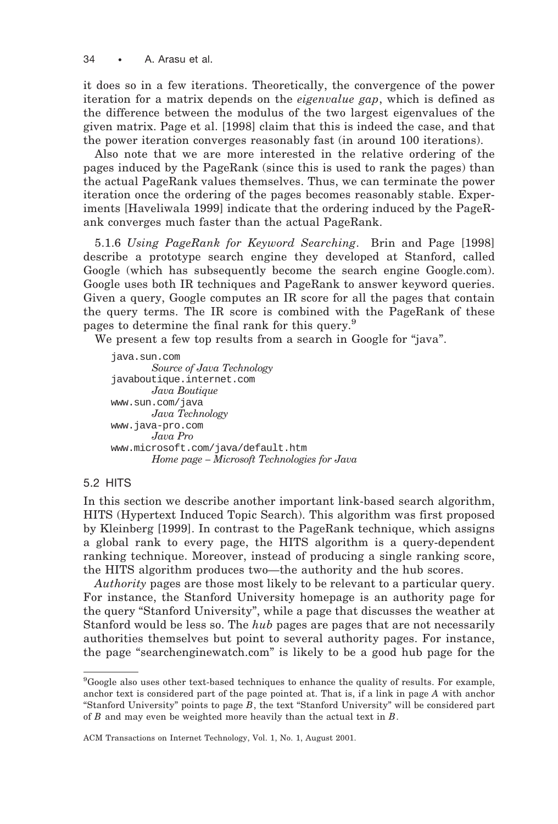34 • A. Arasu et al.

it does so in a few iterations. Theoretically, the convergence of the power iteration for a matrix depends on the *eigenvalue gap*, which is defined as the difference between the modulus of the two largest eigenvalues of the given matrix. Page et al. [1998] claim that this is indeed the case, and that the power iteration converges reasonably fast (in around 100 iterations).

Also note that we are more interested in the relative ordering of the pages induced by the PageRank (since this is used to rank the pages) than the actual PageRank values themselves. Thus, we can terminate the power iteration once the ordering of the pages becomes reasonably stable. Experiments [Haveliwala 1999] indicate that the ordering induced by the PageRank converges much faster than the actual PageRank.

5.1.6 *Using PageRank for Keyword Searching*. Brin and Page [1998] describe a prototype search engine they developed at Stanford, called Google (which has subsequently become the search engine Google.com). Google uses both IR techniques and PageRank to answer keyword queries. Given a query, Google computes an IR score for all the pages that contain the query terms. The IR score is combined with the PageRank of these pages to determine the final rank for this query.<sup>9</sup>

We present a few top results from a search in Google for "java".

java.sun.com *Source of Java Technology* javaboutique.internet.com *Java Boutique* www.sun.com/java *Java Technology* www.java-pro.com *Java Pro* www.microsoft.com/java/default.htm *Home page – Microsoft Technologies for Java*

# 5.2 HITS

In this section we describe another important link-based search algorithm, HITS (Hypertext Induced Topic Search). This algorithm was first proposed by Kleinberg [1999]. In contrast to the PageRank technique, which assigns a global rank to every page, the HITS algorithm is a query-dependent ranking technique. Moreover, instead of producing a single ranking score, the HITS algorithm produces two—the authority and the hub scores.

*Authority* pages are those most likely to be relevant to a particular query. For instance, the Stanford University homepage is an authority page for the query "Stanford University", while a page that discusses the weather at Stanford would be less so. The *hub* pages are pages that are not necessarily authorities themselves but point to several authority pages. For instance, the page "searchenginewatch.com" is likely to be a good hub page for the

<sup>&</sup>lt;sup>9</sup>Google also uses other text-based techniques to enhance the quality of results. For example, anchor text is considered part of the page pointed at. That is, if a link in page *A* with anchor "Stanford University" points to page *B*, the text "Stanford University" will be considered part of *B* and may even be weighted more heavily than the actual text in *B*.

ACM Transactions on Internet Technology, Vol. 1, No. 1, August 2001.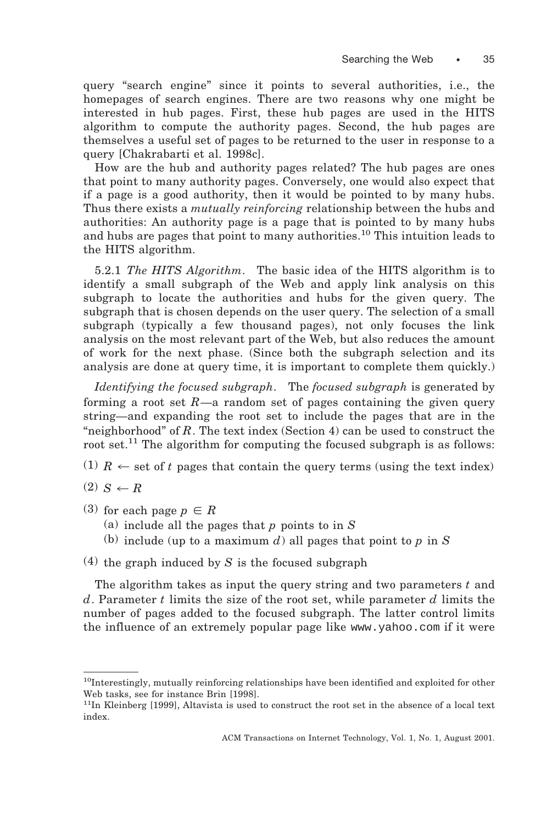query "search engine" since it points to several authorities, i.e., the homepages of search engines. There are two reasons why one might be interested in hub pages. First, these hub pages are used in the HITS algorithm to compute the authority pages. Second, the hub pages are themselves a useful set of pages to be returned to the user in response to a query [Chakrabarti et al. 1998c].

How are the hub and authority pages related? The hub pages are ones that point to many authority pages. Conversely, one would also expect that if a page is a good authority, then it would be pointed to by many hubs. Thus there exists a *mutually reinforcing* relationship between the hubs and authorities: An authority page is a page that is pointed to by many hubs and hubs are pages that point to many authorities.<sup>10</sup> This intuition leads to the HITS algorithm.

5.2.1 *The HITS Algorithm*. The basic idea of the HITS algorithm is to identify a small subgraph of the Web and apply link analysis on this subgraph to locate the authorities and hubs for the given query. The subgraph that is chosen depends on the user query. The selection of a small subgraph (typically a few thousand pages), not only focuses the link analysis on the most relevant part of the Web, but also reduces the amount of work for the next phase. (Since both the subgraph selection and its analysis are done at query time, it is important to complete them quickly.)

*Identifying the focused subgraph*. The *focused subgraph* is generated by forming a root set  $R$ —a random set of pages containing the given query string—and expanding the root set to include the pages that are in the "neighborhood" of *R*. The text index (Section 4) can be used to construct the root set.<sup>11</sup> The algorithm for computing the focused subgraph is as follows:

 $(1)$  *R*  $\leftarrow$  set of *t* pages that contain the query terms (using the text index)

$$
(2) S \leftarrow R
$$

- (3) for each page  $p \in R$ 
	- (a) include all the pages that *p* points to in *S*
	- (b) include (up to a maximum *d*) all pages that point to *p* in *S*
- (4) the graph induced by *S* is the focused subgraph

The algorithm takes as input the query string and two parameters *t* and *d*. Parameter *t* limits the size of the root set, while parameter *d* limits the number of pages added to the focused subgraph. The latter control limits the influence of an extremely popular page like www.yahoo.com if it were

<sup>10</sup>Interestingly, mutually reinforcing relationships have been identified and exploited for other Web tasks, see for instance Brin [1998].

 $11$ In Kleinberg [1999], Altavista is used to construct the root set in the absence of a local text index.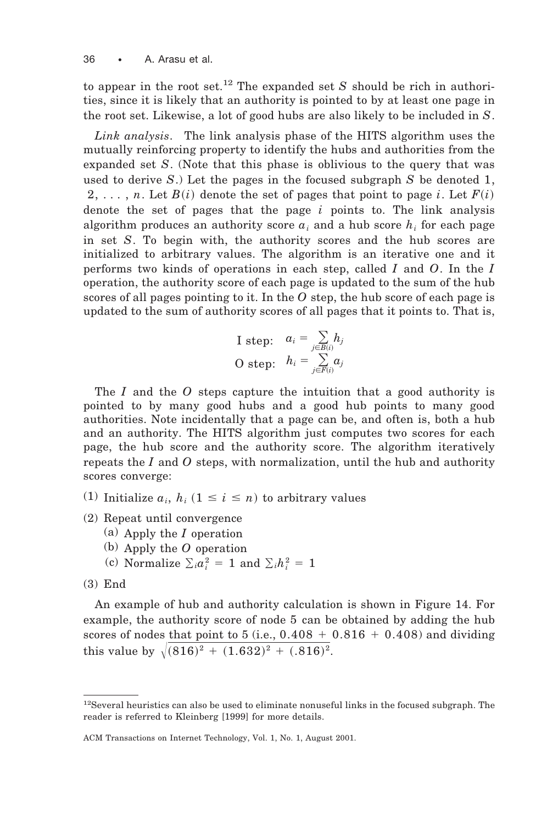to appear in the root set.<sup>12</sup> The expanded set *S* should be rich in authorities, since it is likely that an authority is pointed to by at least one page in the root set. Likewise, a lot of good hubs are also likely to be included in *S*.

*Link analysis*. The link analysis phase of the HITS algorithm uses the mutually reinforcing property to identify the hubs and authorities from the expanded set *S*. (Note that this phase is oblivious to the query that was used to derive *S*.) Let the pages in the focused subgraph *S* be denoted 1, 2, ..., *n*. Let  $B(i)$  denote the set of pages that point to page *i*. Let  $F(i)$ denote the set of pages that the page *i* points to. The link analysis algorithm produces an authority score  $a_i$  and a hub score  $h_i$  for each page in set *S*. To begin with, the authority scores and the hub scores are initialized to arbitrary values. The algorithm is an iterative one and it performs two kinds of operations in each step, called *I* and *O*. In the *I* operation, the authority score of each page is updated to the sum of the hub scores of all pages pointing to it. In the *O* step, the hub score of each page is updated to the sum of authority scores of all pages that it points to. That is,

I step: 
$$
a_i = \sum_{j \in B(i)} h_j
$$
  
O step:  $h_i = \sum_{j \in F(i)} a_j$ 

The *I* and the *O* steps capture the intuition that a good authority is pointed to by many good hubs and a good hub points to many good authorities. Note incidentally that a page can be, and often is, both a hub and an authority. The HITS algorithm just computes two scores for each page, the hub score and the authority score. The algorithm iteratively repeats the *I* and *O* steps, with normalization, until the hub and authority scores converge:

- (1) Initialize  $a_i$ ,  $h_i$   $(1 \leq i \leq n)$  to arbitrary values
- (2) Repeat until convergence
	- (a) Apply the *I* operation
	- (b) Apply the *O* operation
	- (c) Normalize  $\sum_i a_i^2 = 1$  and  $\sum_i h_i^2 = 1$
- (3) End

An example of hub and authority calculation is shown in Figure 14. For example, the authority score of node 5 can be obtained by adding the hub scores of nodes that point to  $5$  (i.e.,  $0.408 + 0.816 + 0.408$ ) and dividing this value by  $\sqrt{(816)^2 + (1.632)^2 + (.816)^2}$ .

 $12$ Several heuristics can also be used to eliminate nonuseful links in the focused subgraph. The reader is referred to Kleinberg [1999] for more details.

ACM Transactions on Internet Technology, Vol. 1, No. 1, August 2001.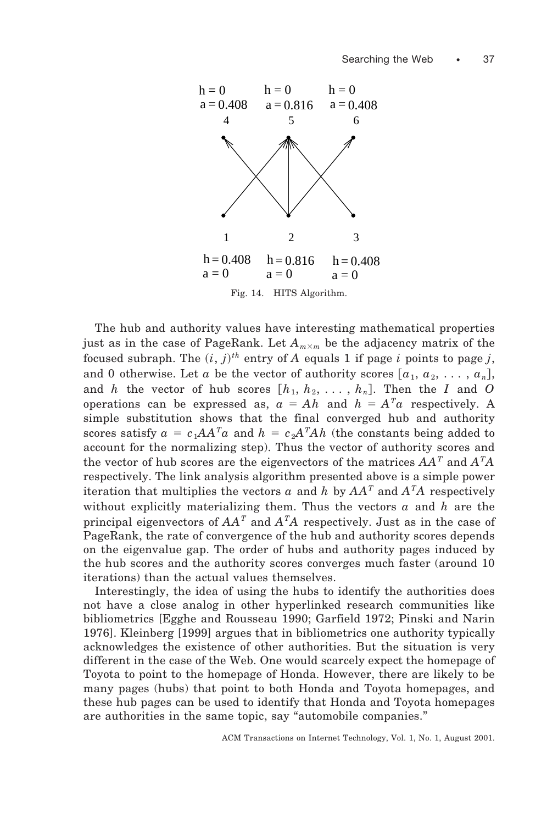

The hub and authority values have interesting mathematical properties just as in the case of PageRank. Let  $A_{m \times m}$  be the adjacency matrix of the focused subraph. The  $(i, j)$ <sup>th</sup> entry of *A* equals 1 if page *i* points to page *j*, and 0 otherwise. Let *a* be the vector of authority scores  $[a_1, a_2, \ldots, a_n]$ , and *h* the vector of hub scores  $[h_1, h_2, \ldots, h_n]$ . Then the *I* and *O* operations can be expressed as,  $a = Ah$  and  $h = A<sup>T</sup>a$  respectively. A simple substitution shows that the final converged hub and authority scores satisfy  $a = c_1 A A^T a$  and  $h = c_2 A^T A h$  (the constants being added to account for the normalizing step). Thus the vector of authority scores and the vector of hub scores are the eigenvectors of the matrices *AAT* and *ATA* respectively. The link analysis algorithm presented above is a simple power iteration that multiplies the vectors  $a$  and  $h$  by  $AA<sup>T</sup>$  and  $A<sup>T</sup>A$  respectively without explicitly materializing them. Thus the vectors *a* and *h* are the principal eigenvectors of *AAT* and *ATA* respectively. Just as in the case of PageRank, the rate of convergence of the hub and authority scores depends on the eigenvalue gap. The order of hubs and authority pages induced by the hub scores and the authority scores converges much faster (around 10 iterations) than the actual values themselves.

Interestingly, the idea of using the hubs to identify the authorities does not have a close analog in other hyperlinked research communities like bibliometrics [Egghe and Rousseau 1990; Garfield 1972; Pinski and Narin 1976]. Kleinberg [1999] argues that in bibliometrics one authority typically acknowledges the existence of other authorities. But the situation is very different in the case of the Web. One would scarcely expect the homepage of Toyota to point to the homepage of Honda. However, there are likely to be many pages (hubs) that point to both Honda and Toyota homepages, and these hub pages can be used to identify that Honda and Toyota homepages are authorities in the same topic, say "automobile companies."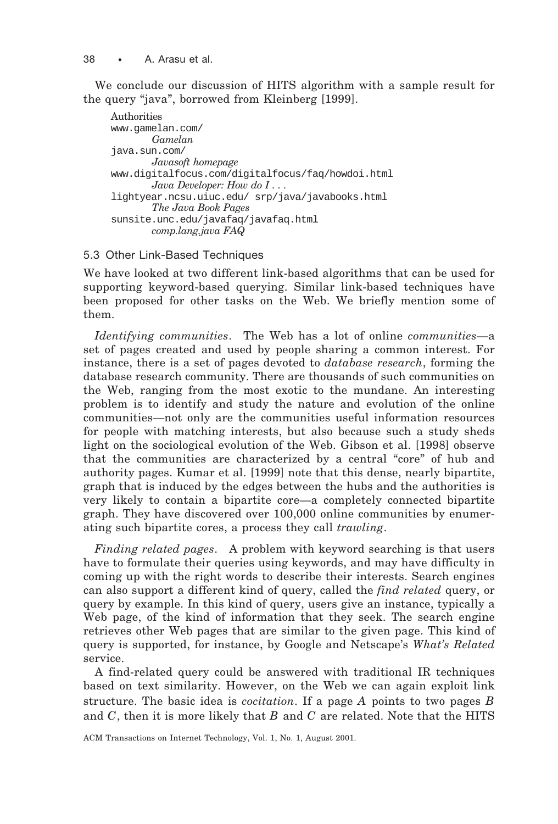38 • A. Arasu et al.

We conclude our discussion of HITS algorithm with a sample result for the query "java", borrowed from Kleinberg [1999].

Authorities www.gamelan.com/ *Gamelan* java.sun.com/ *Javasoft homepage* www.digitalfocus.com/digitalfocus/faq/howdoi.html *Java Developer: How doI...* lightyear.ncsu.uiuc.edu/ srp/java/javabooks.html *The Java Book Pages* sunsite.unc.edu/javafaq/javafaq.html *comp.lang.java FAQ*

## 5.3 Other Link-Based Techniques

We have looked at two different link-based algorithms that can be used for supporting keyword-based querying. Similar link-based techniques have been proposed for other tasks on the Web. We briefly mention some of them.

*Identifying communities*. The Web has a lot of online *communities*—a set of pages created and used by people sharing a common interest. For instance, there is a set of pages devoted to *database research*, forming the database research community. There are thousands of such communities on the Web, ranging from the most exotic to the mundane. An interesting problem is to identify and study the nature and evolution of the online communities—not only are the communities useful information resources for people with matching interests, but also because such a study sheds light on the sociological evolution of the Web. Gibson et al. [1998] observe that the communities are characterized by a central "core" of hub and authority pages. Kumar et al. [1999] note that this dense, nearly bipartite, graph that is induced by the edges between the hubs and the authorities is very likely to contain a bipartite core—a completely connected bipartite graph. They have discovered over 100,000 online communities by enumerating such bipartite cores, a process they call *trawling*.

*Finding related pages*. A problem with keyword searching is that users have to formulate their queries using keywords, and may have difficulty in coming up with the right words to describe their interests. Search engines can also support a different kind of query, called the *find related* query, or query by example. In this kind of query, users give an instance, typically a Web page, of the kind of information that they seek. The search engine retrieves other Web pages that are similar to the given page. This kind of query is supported, for instance, by Google and Netscape's *What's Related* service.

A find-related query could be answered with traditional IR techniques based on text similarity. However, on the Web we can again exploit link structure. The basic idea is *cocitation*. If a page *A* points to two pages *B* and *C*, then it is more likely that *B* and *C* are related. Note that the HITS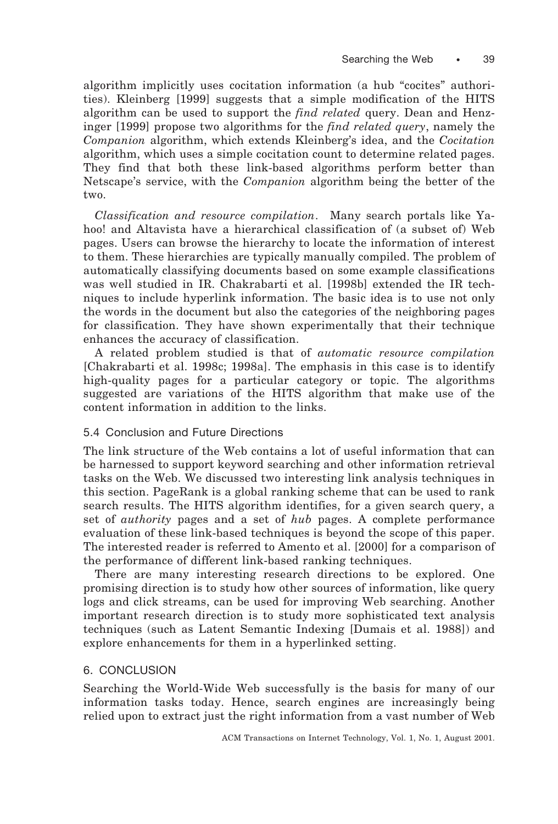algorithm implicitly uses cocitation information (a hub "cocites" authorities). Kleinberg [1999] suggests that a simple modification of the HITS algorithm can be used to support the *find related* query. Dean and Henzinger [1999] propose two algorithms for the *find related query*, namely the *Companion* algorithm, which extends Kleinberg's idea, and the *Cocitation* algorithm, which uses a simple cocitation count to determine related pages. They find that both these link-based algorithms perform better than Netscape's service, with the *Companion* algorithm being the better of the two.

*Classification and resource compilation*. Many search portals like Yahoo! and Altavista have a hierarchical classification of (a subset of) Web pages. Users can browse the hierarchy to locate the information of interest to them. These hierarchies are typically manually compiled. The problem of automatically classifying documents based on some example classifications was well studied in IR. Chakrabarti et al. [1998b] extended the IR techniques to include hyperlink information. The basic idea is to use not only the words in the document but also the categories of the neighboring pages for classification. They have shown experimentally that their technique enhances the accuracy of classification.

A related problem studied is that of *automatic resource compilation* [Chakrabarti et al. 1998c; 1998a]. The emphasis in this case is to identify high-quality pages for a particular category or topic. The algorithms suggested are variations of the HITS algorithm that make use of the content information in addition to the links.

## 5.4 Conclusion and Future Directions

The link structure of the Web contains a lot of useful information that can be harnessed to support keyword searching and other information retrieval tasks on the Web. We discussed two interesting link analysis techniques in this section. PageRank is a global ranking scheme that can be used to rank search results. The HITS algorithm identifies, for a given search query, a set of *authority* pages and a set of *hub* pages. A complete performance evaluation of these link-based techniques is beyond the scope of this paper. The interested reader is referred to Amento et al. [2000] for a comparison of the performance of different link-based ranking techniques.

There are many interesting research directions to be explored. One promising direction is to study how other sources of information, like query logs and click streams, can be used for improving Web searching. Another important research direction is to study more sophisticated text analysis techniques (such as Latent Semantic Indexing [Dumais et al. 1988]) and explore enhancements for them in a hyperlinked setting.

### 6. CONCLUSION

Searching the World-Wide Web successfully is the basis for many of our information tasks today. Hence, search engines are increasingly being relied upon to extract just the right information from a vast number of Web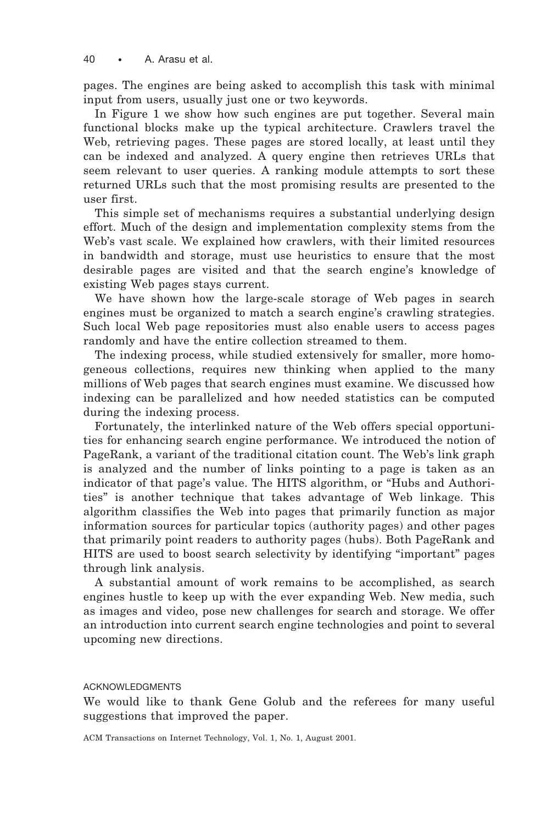pages. The engines are being asked to accomplish this task with minimal input from users, usually just one or two keywords.

In Figure 1 we show how such engines are put together. Several main functional blocks make up the typical architecture. Crawlers travel the Web, retrieving pages. These pages are stored locally, at least until they can be indexed and analyzed. A query engine then retrieves URLs that seem relevant to user queries. A ranking module attempts to sort these returned URLs such that the most promising results are presented to the user first.

This simple set of mechanisms requires a substantial underlying design effort. Much of the design and implementation complexity stems from the Web's vast scale. We explained how crawlers, with their limited resources in bandwidth and storage, must use heuristics to ensure that the most desirable pages are visited and that the search engine's knowledge of existing Web pages stays current.

We have shown how the large-scale storage of Web pages in search engines must be organized to match a search engine's crawling strategies. Such local Web page repositories must also enable users to access pages randomly and have the entire collection streamed to them.

The indexing process, while studied extensively for smaller, more homogeneous collections, requires new thinking when applied to the many millions of Web pages that search engines must examine. We discussed how indexing can be parallelized and how needed statistics can be computed during the indexing process.

Fortunately, the interlinked nature of the Web offers special opportunities for enhancing search engine performance. We introduced the notion of PageRank, a variant of the traditional citation count. The Web's link graph is analyzed and the number of links pointing to a page is taken as an indicator of that page's value. The HITS algorithm, or "Hubs and Authorities" is another technique that takes advantage of Web linkage. This algorithm classifies the Web into pages that primarily function as major information sources for particular topics (authority pages) and other pages that primarily point readers to authority pages (hubs). Both PageRank and HITS are used to boost search selectivity by identifying "important" pages through link analysis.

A substantial amount of work remains to be accomplished, as search engines hustle to keep up with the ever expanding Web. New media, such as images and video, pose new challenges for search and storage. We offer an introduction into current search engine technologies and point to several upcoming new directions.

#### ACKNOWLEDGMENTS

We would like to thank Gene Golub and the referees for many useful suggestions that improved the paper.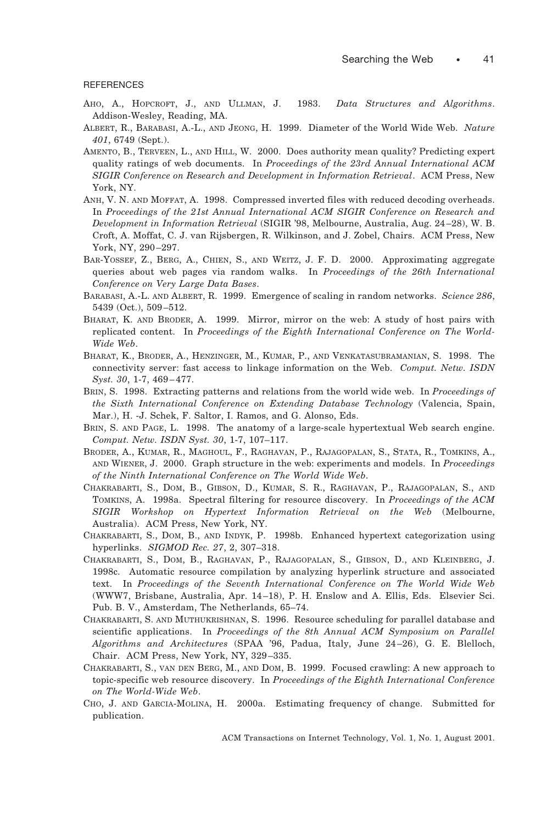#### **REFERENCES**

- AHO, A., HOPCROFT, J., AND ULLMAN, J. 1983. *Data Structures and Algorithms*. Addison-Wesley, Reading, MA.
- ALBERT, R., BARABASI, A.-L., AND JEONG, H. 1999. Diameter of the World Wide Web. *Nature 401*, 6749 (Sept.).
- AMENTO, B., TERVEEN, L., AND HILL, W. 2000. Does authority mean quality? Predicting expert quality ratings of web documents. In *Proceedings of the 23rd Annual International ACM SIGIR Conference on Research and Development in Information Retrieval*. ACM Press, New York, NY.
- ANH, V. N. AND MOFFAT, A. 1998. Compressed inverted files with reduced decoding overheads. In *Proceedings of the 21st Annual International ACM SIGIR Conference on Research and Development in Information Retrieval* (SIGIR '98, Melbourne, Australia, Aug. 24–28), W. B. Croft, A. Moffat, C. J. van Rijsbergen, R. Wilkinson, and J. Zobel, Chairs. ACM Press, New York, NY, 290–297.
- BAR-YOSSEF, Z., BERG, A., CHIEN, S., AND WEITZ, J. F. D. 2000. Approximating aggregate queries about web pages via random walks. In *Proceedings of the 26th International Conference on Very Large Data Bases*.
- BARABASI, A.-L. AND ALBERT, R. 1999. Emergence of scaling in random networks. *Science 286*, 5439 (Oct.), 509–512.
- BHARAT, K. AND BRODER, A. 1999. Mirror, mirror on the web: A study of host pairs with replicated content. In *Proceedings of the Eighth International Conference on The World-Wide Web*.
- BHARAT, K., BRODER, A., HENZINGER, M., KUMAR, P., AND VENKATASUBRAMANIAN, S. 1998. The connectivity server: fast access to linkage information on the Web. *Comput. Netw. ISDN Syst. 30*, 1-7, 469–477.
- BRIN, S. 1998. Extracting patterns and relations from the world wide web. In *Proceedings of the Sixth International Conference on Extending Database Technology* (Valencia, Spain, Mar.), H. -J. Schek, F. Saltor, I. Ramos, and G. Alonso, Eds.
- BRIN, S. AND PAGE, L. 1998. The anatomy of a large-scale hypertextual Web search engine. *Comput. Netw. ISDN Syst. 30*, 1-7, 107–117.
- BRODER, A., KUMAR, R., MAGHOUL, F., RAGHAVAN, P., RAJAGOPALAN, S., STATA, R., TOMKINS, A., AND WIENER, J. 2000. Graph structure in the web: experiments and models. In *Proceedings of the Ninth International Conference on The World Wide Web*.
- CHAKRABARTI, S., DOM, B., GIBSON, D., KUMAR, S. R., RAGHAVAN, P., RAJAGOPALAN, S., AND TOMKINS, A. 1998a. Spectral filtering for resource discovery. In *Proceedings of the ACM SIGIR Workshop on Hypertext Information Retrieval on the Web* (Melbourne, Australia). ACM Press, New York, NY.
- CHAKRABARTI, S., DOM, B., AND INDYK, P. 1998b. Enhanced hypertext categorization using hyperlinks. *SIGMOD Rec. 27*, 2, 307–318.
- CHAKRABARTI, S., DOM, B., RAGHAVAN, P., RAJAGOPALAN, S., GIBSON, D., AND KLEINBERG, J. 1998c. Automatic resource compilation by analyzing hyperlink structure and associated text. In *Proceedings of the Seventh International Conference on The World Wide Web* (WWW7, Brisbane, Australia, Apr. 14–18), P. H. Enslow and A. Ellis, Eds. Elsevier Sci. Pub. B. V., Amsterdam, The Netherlands, 65–74.
- CHAKRABARTI, S. AND MUTHUKRISHNAN, S. 1996. Resource scheduling for parallel database and scientific applications. In *Proceedings of the 8th Annual ACM Symposium on Parallel Algorithms and Architectures* (SPAA '96, Padua, Italy, June 24–26), G. E. Blelloch, Chair. ACM Press, New York, NY, 329–335.
- CHAKRABARTI, S., VAN DEN BERG, M., AND DOM, B. 1999. Focused crawling: A new approach to topic-specific web resource discovery. In *Proceedings of the Eighth International Conference on The World-Wide Web*.
- CHO, J. AND GARCIA-MOLINA, H. 2000a. Estimating frequency of change. Submitted for publication.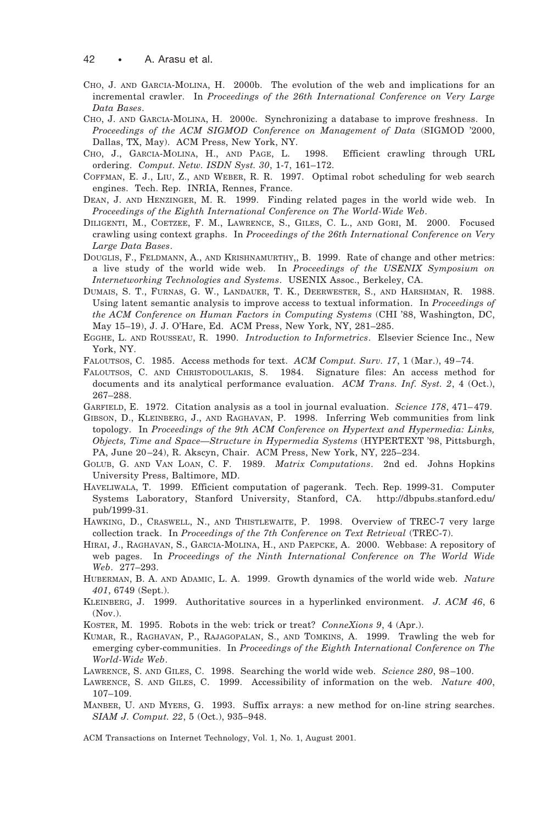- CHO, J. AND GARCIA-MOLINA, H. 2000b. The evolution of the web and implications for an incremental crawler. In *Proceedings of the 26th International Conference on Very Large Data Bases*.
- CHO, J. AND GARCIA-MOLINA, H. 2000c. Synchronizing a database to improve freshness. In *Proceedings of the ACM SIGMOD Conference on Management of Data* (SIGMOD '2000, Dallas, TX, May). ACM Press, New York, NY.
- CHO, J., GARCIA-MOLINA, H., AND PAGE, L. 1998. Efficient crawling through URL ordering. *Comput. Netw. ISDN Syst. 30*, 1-7, 161–172.
- COFFMAN, E. J., LIU, Z., AND WEBER, R. R. 1997. Optimal robot scheduling for web search engines. Tech. Rep. INRIA, Rennes, France.
- DEAN, J. AND HENZINGER, M. R. 1999. Finding related pages in the world wide web. In *Proceedings of the Eighth International Conference on The World-Wide Web*.
- DILIGENTI, M., COETZEE, F. M., LAWRENCE, S., GILES, C. L., AND GORI, M. 2000. Focused crawling using context graphs. In *Proceedings of the 26th International Conference on Very Large Data Bases*.
- DOUGLIS, F., FELDMANN, A., AND KRISHNAMURTHY,, B. 1999. Rate of change and other metrics: a live study of the world wide web. In *Proceedings of the USENIX Symposium on Internetworking Technologies and Systems*. USENIX Assoc., Berkeley, CA.
- DUMAIS, S. T., FURNAS, G. W., LANDAUER, T. K., DEERWESTER, S., AND HARSHMAN, R. 1988. Using latent semantic analysis to improve access to textual information. In *Proceedings of the ACM Conference on Human Factors in Computing Systems* (CHI '88, Washington, DC, May 15–19), J. J. O'Hare, Ed. ACM Press, New York, NY, 281–285.
- EGGHE, L. AND ROUSSEAU, R. 1990. *Introduction to Informetrics*. Elsevier Science Inc., New York, NY.
- FALOUTSOS, C. 1985. Access methods for text. *ACM Comput. Surv. 17*, 1 (Mar.), 49–74.
- FALOUTSOS, C. AND CHRISTODOULAKIS, S. 1984. Signature files: An access method for documents and its analytical performance evaluation. *ACM Trans. Inf. Syst. 2*, 4 (Oct.), 267–288.
- GARFIELD, E. 1972. Citation analysis as a tool in journal evaluation. *Science 178*, 471–479.
- GIBSON, D., KLEINBERG, J., AND RAGHAVAN, P. 1998. Inferring Web communities from link topology. In *Proceedings of the 9th ACM Conference on Hypertext and Hypermedia: Links, Objects, Time and Space—Structure in Hypermedia Systems* (HYPERTEXT '98, Pittsburgh, PA, June 20–24), R. Akscyn, Chair. ACM Press, New York, NY, 225–234.
- GOLUB, G. AND VAN LOAN, C. F. 1989. *Matrix Computations*. 2nd ed. Johns Hopkins University Press, Baltimore, MD.
- HAVELIWALA, T. 1999. Efficient computation of pagerank. Tech. Rep. 1999-31. Computer Systems Laboratory, Stanford University, Stanford, CA. http://dbpubs.stanford.edu/ pub/1999-31.
- HAWKING, D., CRASWELL, N., AND THISTLEWAITE, P. 1998. Overview of TREC-7 very large collection track. In *Proceedings of the 7th Conference on Text Retrieval* (TREC-7).
- HIRAI, J., RAGHAVAN, S., GARCIA-MOLINA, H., AND PAEPCKE, A. 2000. Webbase: A repository of web pages. In *Proceedings of the Ninth International Conference on The World Wide Web*. 277–293.
- HUBERMAN, B. A. AND ADAMIC, L. A. 1999. Growth dynamics of the world wide web. *Nature 401*, 6749 (Sept.).
- KLEINBERG, J. 1999. Authoritative sources in a hyperlinked environment. *J. ACM 46*, 6  $(Nov. )$ .
- KOSTER, M. 1995. Robots in the web: trick or treat? *ConneXions 9*, 4 (Apr.).
- KUMAR, R., RAGHAVAN, P., RAJAGOPALAN, S., AND TOMKINS, A. 1999. Trawling the web for emerging cyber-communities. In *Proceedings of the Eighth International Conference on The World-Wide Web*.
- LAWRENCE, S. AND GILES, C. 1998. Searching the world wide web. *Science 280*, 98–100.
- LAWRENCE, S. AND GILES, C. 1999. Accessibility of information on the web. *Nature 400*, 107–109.
- MANBER, U. AND MYERS, G. 1993. Suffix arrays: a new method for on-line string searches. *SIAM J. Comput. 22*, 5 (Oct.), 935–948.